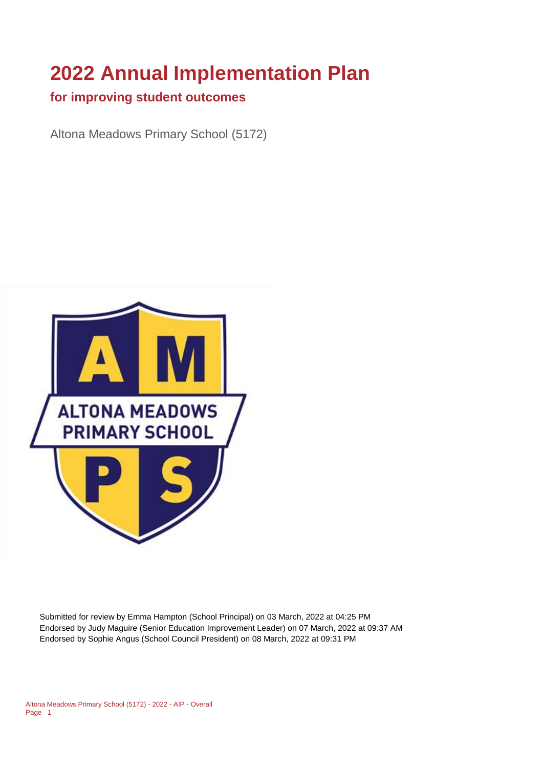# **2022 Annual Implementation Plan**

#### **for improving student outcomes**

Altona Meadows Primary School (5172)



Submitted for review by Emma Hampton (School Principal) on 03 March, 2022 at 04:25 PM Endorsed by Judy Maguire (Senior Education Improvement Leader) on 07 March, 2022 at 09:37 AM Endorsed by Sophie Angus (School Council President) on 08 March, 2022 at 09:31 PM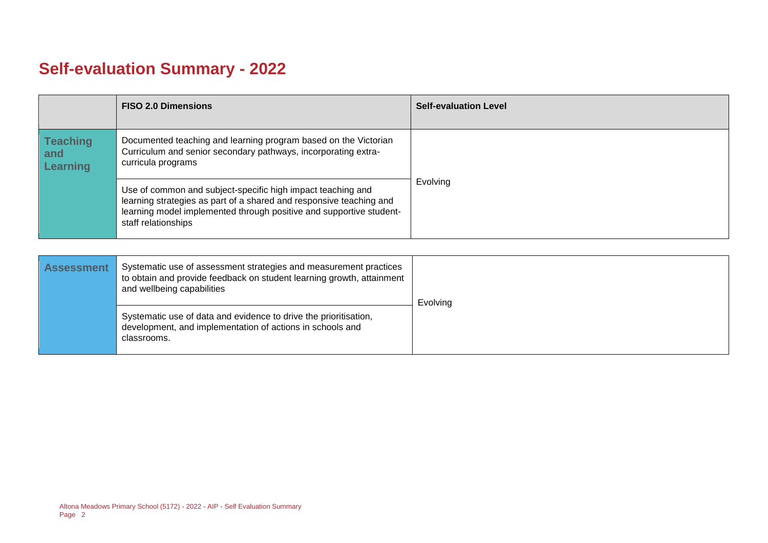# **Self-evaluation Summary - 2022**

|                                           | <b>FISO 2.0 Dimensions</b>                                                                                                                                                                                                       | <b>Self-evaluation Level</b> |
|-------------------------------------------|----------------------------------------------------------------------------------------------------------------------------------------------------------------------------------------------------------------------------------|------------------------------|
| <b>Teaching</b><br>and<br><b>Learning</b> | Documented teaching and learning program based on the Victorian<br>Curriculum and senior secondary pathways, incorporating extra-<br>curricula programs                                                                          |                              |
|                                           | Use of common and subject-specific high impact teaching and<br>learning strategies as part of a shared and responsive teaching and<br>learning model implemented through positive and supportive student-<br>staff relationships | Evolving                     |

| <b>Assessment</b> | Systematic use of assessment strategies and measurement practices<br>to obtain and provide feedback on student learning growth, attainment<br>and wellbeing capabilities | Evolving |
|-------------------|--------------------------------------------------------------------------------------------------------------------------------------------------------------------------|----------|
|                   | Systematic use of data and evidence to drive the prioritisation,<br>development, and implementation of actions in schools and<br>classrooms.                             |          |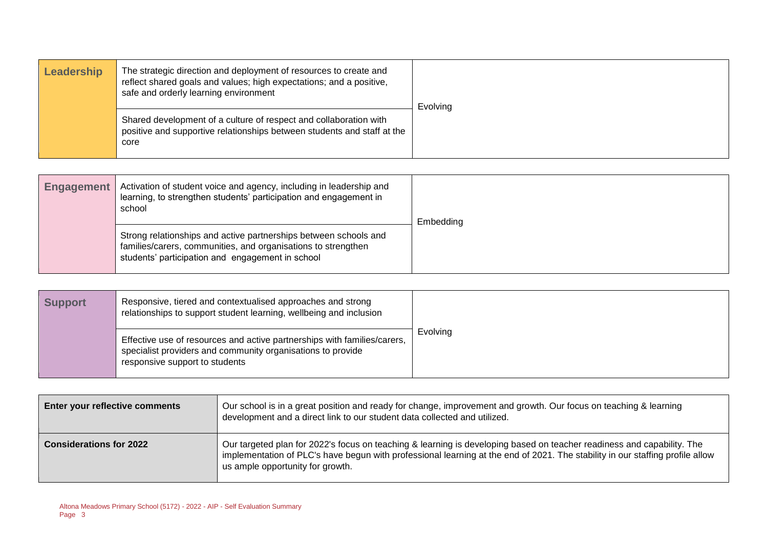| Leadership | The strategic direction and deployment of resources to create and<br>reflect shared goals and values; high expectations; and a positive,<br>safe and orderly learning environment | Evolving |
|------------|-----------------------------------------------------------------------------------------------------------------------------------------------------------------------------------|----------|
|            | Shared development of a culture of respect and collaboration with<br>positive and supportive relationships between students and staff at the<br>core                              |          |

| <b>Engagement</b> | Activation of student voice and agency, including in leadership and<br>learning, to strengthen students' participation and engagement in<br>school                                    | Embedding |
|-------------------|---------------------------------------------------------------------------------------------------------------------------------------------------------------------------------------|-----------|
|                   | Strong relationships and active partnerships between schools and<br>families/carers, communities, and organisations to strengthen<br>students' participation and engagement in school |           |

| <b>Support</b> | Responsive, tiered and contextualised approaches and strong<br>relationships to support student learning, wellbeing and inclusion                                         |          |
|----------------|---------------------------------------------------------------------------------------------------------------------------------------------------------------------------|----------|
|                | Effective use of resources and active partnerships with families/carers,<br>specialist providers and community organisations to provide<br>responsive support to students | Evolving |

| <b>Enter your reflective comments</b> | Our school is in a great position and ready for change, improvement and growth. Our focus on teaching & learning<br>development and a direct link to our student data collected and utilized.                                                                                               |  |  |  |
|---------------------------------------|---------------------------------------------------------------------------------------------------------------------------------------------------------------------------------------------------------------------------------------------------------------------------------------------|--|--|--|
| <b>Considerations for 2022</b>        | Our targeted plan for 2022's focus on teaching & learning is developing based on teacher readiness and capability. The<br>implementation of PLC's have begun with professional learning at the end of 2021. The stability in our staffing profile allow<br>us ample opportunity for growth. |  |  |  |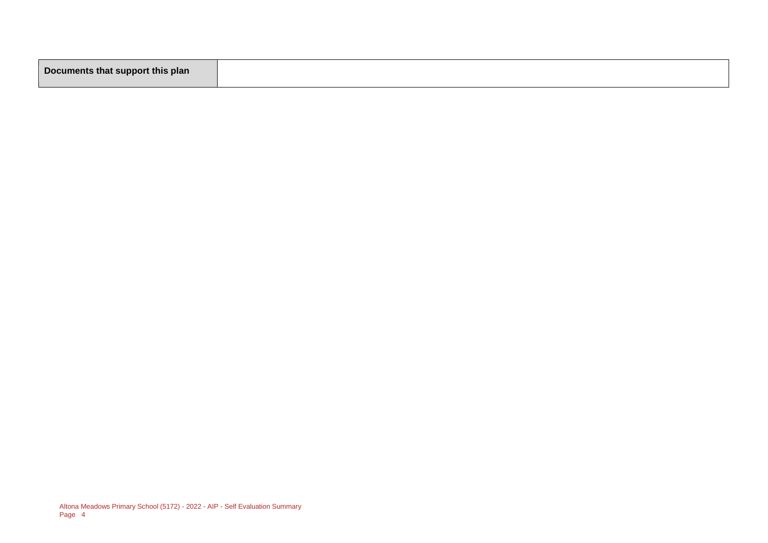|--|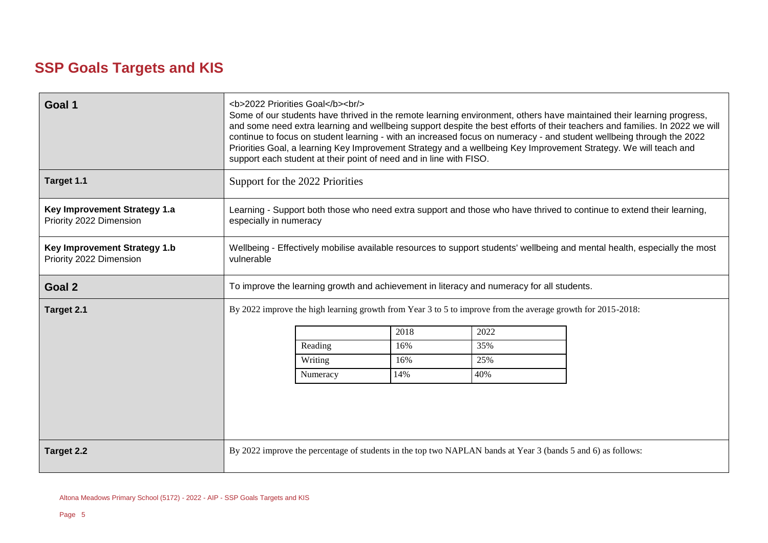## **SSP Goals Targets and KIS**

| Goal 1<br>Target 1.1                                           | <b>2022 Priorities Goal</b><br><br><br>Some of our students have thrived in the remote learning environment, others have maintained their learning progress,<br> |                                                                                                                                                 |      |                                                                                           |  |  |
|----------------------------------------------------------------|------------------------------------------------------------------------------------------------------------------------------------------------------------------|-------------------------------------------------------------------------------------------------------------------------------------------------|------|-------------------------------------------------------------------------------------------|--|--|
|                                                                |                                                                                                                                                                  |                                                                                                                                                 |      |                                                                                           |  |  |
| <b>Key Improvement Strategy 1.a</b><br>Priority 2022 Dimension |                                                                                                                                                                  | Learning - Support both those who need extra support and those who have thrived to continue to extend their learning,<br>especially in numeracy |      |                                                                                           |  |  |
| Key Improvement Strategy 1.b<br>Priority 2022 Dimension        | Wellbeing - Effectively mobilise available resources to support students' wellbeing and mental health, especially the most<br>vulnerable                         |                                                                                                                                                 |      |                                                                                           |  |  |
| Goal 2                                                         |                                                                                                                                                                  |                                                                                                                                                 |      | To improve the learning growth and achievement in literacy and numeracy for all students. |  |  |
| Target 2.1                                                     | By 2022 improve the high learning growth from Year 3 to 5 to improve from the average growth for 2015-2018:                                                      |                                                                                                                                                 |      |                                                                                           |  |  |
|                                                                |                                                                                                                                                                  |                                                                                                                                                 | 2018 | 2022                                                                                      |  |  |
|                                                                |                                                                                                                                                                  | Reading                                                                                                                                         | 16%  | 35%                                                                                       |  |  |
|                                                                |                                                                                                                                                                  | Writing                                                                                                                                         | 16%  | 25%                                                                                       |  |  |
|                                                                |                                                                                                                                                                  | Numeracy                                                                                                                                        | 14%  | 40%                                                                                       |  |  |
|                                                                |                                                                                                                                                                  |                                                                                                                                                 |      |                                                                                           |  |  |
| Target 2.2                                                     | By 2022 improve the percentage of students in the top two NAPLAN bands at Year 3 (bands 5 and 6) as follows:                                                     |                                                                                                                                                 |      |                                                                                           |  |  |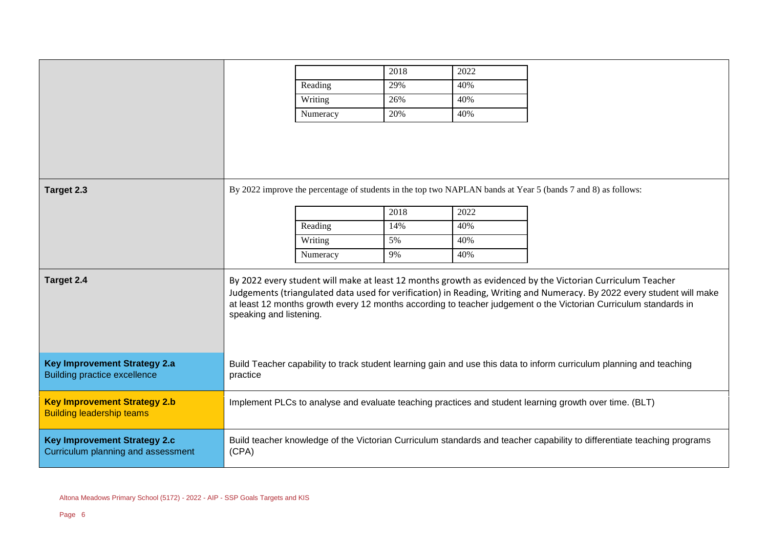|                                                                            |                                                                                                                                                                                                                                                                                                                                                                                     |          | 2018 | 2022 |                                                                                                              |
|----------------------------------------------------------------------------|-------------------------------------------------------------------------------------------------------------------------------------------------------------------------------------------------------------------------------------------------------------------------------------------------------------------------------------------------------------------------------------|----------|------|------|--------------------------------------------------------------------------------------------------------------|
|                                                                            |                                                                                                                                                                                                                                                                                                                                                                                     | Reading  | 29%  | 40%  |                                                                                                              |
|                                                                            |                                                                                                                                                                                                                                                                                                                                                                                     | Writing  | 26%  | 40%  |                                                                                                              |
|                                                                            |                                                                                                                                                                                                                                                                                                                                                                                     | Numeracy | 20%  | 40%  |                                                                                                              |
|                                                                            |                                                                                                                                                                                                                                                                                                                                                                                     |          |      |      |                                                                                                              |
|                                                                            |                                                                                                                                                                                                                                                                                                                                                                                     |          |      |      |                                                                                                              |
|                                                                            |                                                                                                                                                                                                                                                                                                                                                                                     |          |      |      |                                                                                                              |
|                                                                            |                                                                                                                                                                                                                                                                                                                                                                                     |          |      |      |                                                                                                              |
| Target 2.3                                                                 |                                                                                                                                                                                                                                                                                                                                                                                     |          |      |      | By 2022 improve the percentage of students in the top two NAPLAN bands at Year 5 (bands 7 and 8) as follows: |
|                                                                            |                                                                                                                                                                                                                                                                                                                                                                                     |          | 2018 | 2022 |                                                                                                              |
|                                                                            |                                                                                                                                                                                                                                                                                                                                                                                     | Reading  | 14%  | 40%  |                                                                                                              |
|                                                                            |                                                                                                                                                                                                                                                                                                                                                                                     | Writing  | 5%   | 40%  |                                                                                                              |
|                                                                            |                                                                                                                                                                                                                                                                                                                                                                                     | Numeracy | 9%   | 40%  |                                                                                                              |
| Target 2.4                                                                 | By 2022 every student will make at least 12 months growth as evidenced by the Victorian Curriculum Teacher<br>Judgements (triangulated data used for verification) in Reading, Writing and Numeracy. By 2022 every student will make<br>at least 12 months growth every 12 months according to teacher judgement o the Victorian Curriculum standards in<br>speaking and listening. |          |      |      |                                                                                                              |
| <b>Key Improvement Strategy 2.a</b><br><b>Building practice excellence</b> | Build Teacher capability to track student learning gain and use this data to inform curriculum planning and teaching<br>practice                                                                                                                                                                                                                                                    |          |      |      |                                                                                                              |
| <b>Key Improvement Strategy 2.b</b><br><b>Building leadership teams</b>    | Implement PLCs to analyse and evaluate teaching practices and student learning growth over time. (BLT)                                                                                                                                                                                                                                                                              |          |      |      |                                                                                                              |
| <b>Key Improvement Strategy 2.c</b><br>Curriculum planning and assessment  | Build teacher knowledge of the Victorian Curriculum standards and teacher capability to differentiate teaching programs<br>(CPA)                                                                                                                                                                                                                                                    |          |      |      |                                                                                                              |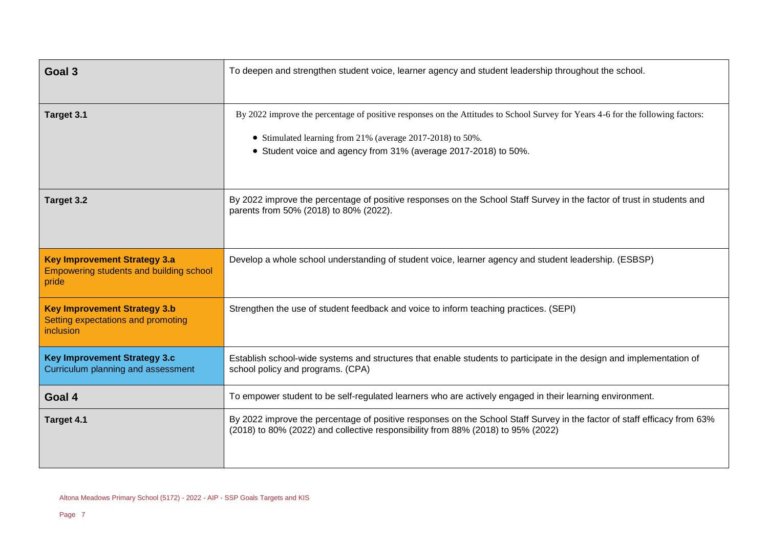| Goal 3                                                                                         | To deepen and strengthen student voice, learner agency and student leadership throughout the school.                                                                                                                                                             |  |  |  |  |
|------------------------------------------------------------------------------------------------|------------------------------------------------------------------------------------------------------------------------------------------------------------------------------------------------------------------------------------------------------------------|--|--|--|--|
| Target 3.1                                                                                     | By 2022 improve the percentage of positive responses on the Attitudes to School Survey for Years 4-6 for the following factors:<br>• Stimulated learning from 21% (average 2017-2018) to 50%.<br>• Student voice and agency from 31% (average 2017-2018) to 50%. |  |  |  |  |
| Target 3.2                                                                                     | By 2022 improve the percentage of positive responses on the School Staff Survey in the factor of trust in students and<br>parents from 50% (2018) to 80% (2022).                                                                                                 |  |  |  |  |
| <b>Key Improvement Strategy 3.a</b><br><b>Empowering students and building school</b><br>pride | Develop a whole school understanding of student voice, learner agency and student leadership. (ESBSP)                                                                                                                                                            |  |  |  |  |
| <b>Key Improvement Strategy 3.b</b><br>Setting expectations and promoting<br><i>inclusion</i>  | Strengthen the use of student feedback and voice to inform teaching practices. (SEPI)                                                                                                                                                                            |  |  |  |  |
| <b>Key Improvement Strategy 3.c</b><br>Curriculum planning and assessment                      | Establish school-wide systems and structures that enable students to participate in the design and implementation of<br>school policy and programs. (CPA)                                                                                                        |  |  |  |  |
| Goal 4                                                                                         | To empower student to be self-regulated learners who are actively engaged in their learning environment.                                                                                                                                                         |  |  |  |  |
| Target 4.1                                                                                     | By 2022 improve the percentage of positive responses on the School Staff Survey in the factor of staff efficacy from 63%<br>(2018) to 80% (2022) and collective responsibility from 88% (2018) to 95% (2022)                                                     |  |  |  |  |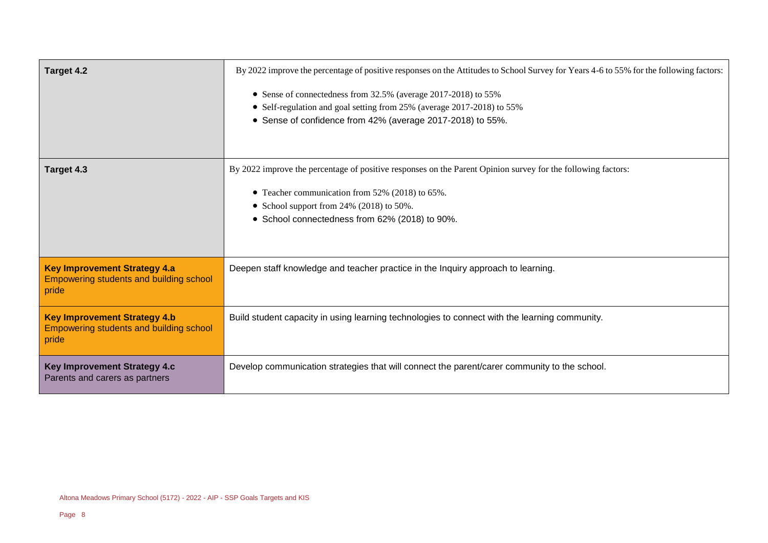| <b>Target 4.2</b>                                                                       | By 2022 improve the percentage of positive responses on the Attitudes to School Survey for Years 4-6 to 55% for the following factors:<br>• Sense of connectedness from 32.5% (average 2017-2018) to 55%<br>• Self-regulation and goal setting from 25% (average 2017-2018) to 55%<br>• Sense of confidence from 42% (average 2017-2018) to 55%. |
|-----------------------------------------------------------------------------------------|--------------------------------------------------------------------------------------------------------------------------------------------------------------------------------------------------------------------------------------------------------------------------------------------------------------------------------------------------|
| Target 4.3                                                                              | By 2022 improve the percentage of positive responses on the Parent Opinion survey for the following factors:<br>• Teacher communication from 52% (2018) to 65%.<br>• School support from 24% (2018) to 50%.<br>• School connectedness from 62% (2018) to 90%.                                                                                    |
| <b>Key Improvement Strategy 4.a</b><br>Empowering students and building school<br>pride | Deepen staff knowledge and teacher practice in the Inquiry approach to learning.                                                                                                                                                                                                                                                                 |
| <b>Key Improvement Strategy 4.b</b><br>Empowering students and building school<br>pride | Build student capacity in using learning technologies to connect with the learning community.                                                                                                                                                                                                                                                    |
| <b>Key Improvement Strategy 4.c</b><br>Parents and carers as partners                   | Develop communication strategies that will connect the parent/carer community to the school.                                                                                                                                                                                                                                                     |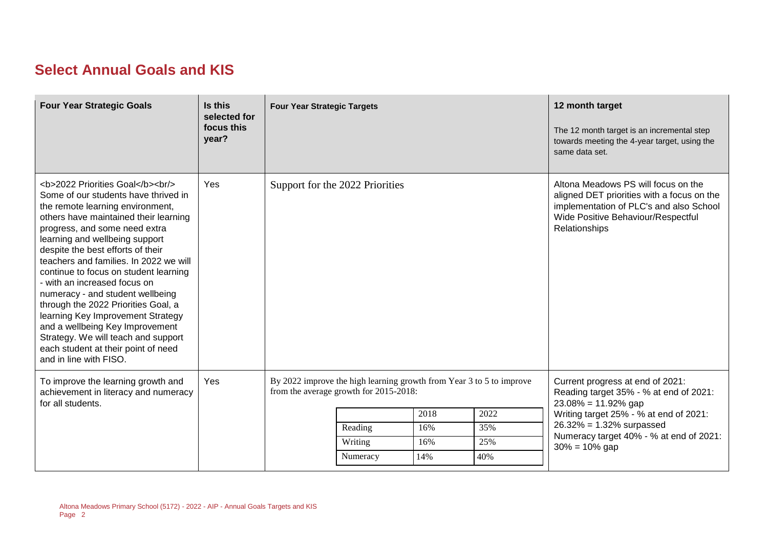### **Select Annual Goals and KIS**

| <b>Four Year Strategic Goals</b>                                                                                                                                                              | Is this<br>selected for<br>focus this<br>year? | <b>Four Year Strategic Targets</b>                                                                             |          |      |                                                                                                                                                                                     | 12 month target<br>The 12 month target is an incremental step<br>towards meeting the 4-year target, using the<br>same data set. |
|-----------------------------------------------------------------------------------------------------------------------------------------------------------------------------------------------|------------------------------------------------|----------------------------------------------------------------------------------------------------------------|----------|------|-------------------------------------------------------------------------------------------------------------------------------------------------------------------------------------|---------------------------------------------------------------------------------------------------------------------------------|
| <b>2022 Priorities Goal</b><br><br><br>Some of our students have thrived in<br>the remote learning environment,<br>others have maintained their learning<br>progress, and some need extra<br> | Yes                                            | Support for the 2022 Priorities                                                                                |          |      | Altona Meadows PS will focus on the<br>aligned DET priorities with a focus on the<br>implementation of PLC's and also School<br>Wide Positive Behaviour/Respectful<br>Relationships |                                                                                                                                 |
| To improve the learning growth and<br>achievement in literacy and numeracy<br>for all students.                                                                                               | Yes                                            | By 2022 improve the high learning growth from Year 3 to 5 to improve<br>from the average growth for 2015-2018: |          |      | Current progress at end of 2021:<br>Reading target 35% - % at end of 2021:<br>$23.08\% = 11.92\%$ gap                                                                               |                                                                                                                                 |
|                                                                                                                                                                                               |                                                |                                                                                                                |          | 2018 | 2022                                                                                                                                                                                | Writing target 25% - % at end of 2021:                                                                                          |
|                                                                                                                                                                                               |                                                |                                                                                                                | Reading  | 16%  | 35%                                                                                                                                                                                 | $26.32\% = 1.32\%$ surpassed<br>Numeracy target 40% - % at end of 2021:                                                         |
|                                                                                                                                                                                               |                                                |                                                                                                                | Writing  | 16%  | 25%                                                                                                                                                                                 | $30\% = 10\%$ gap                                                                                                               |
|                                                                                                                                                                                               |                                                |                                                                                                                | Numeracy | 14%  | 40%                                                                                                                                                                                 |                                                                                                                                 |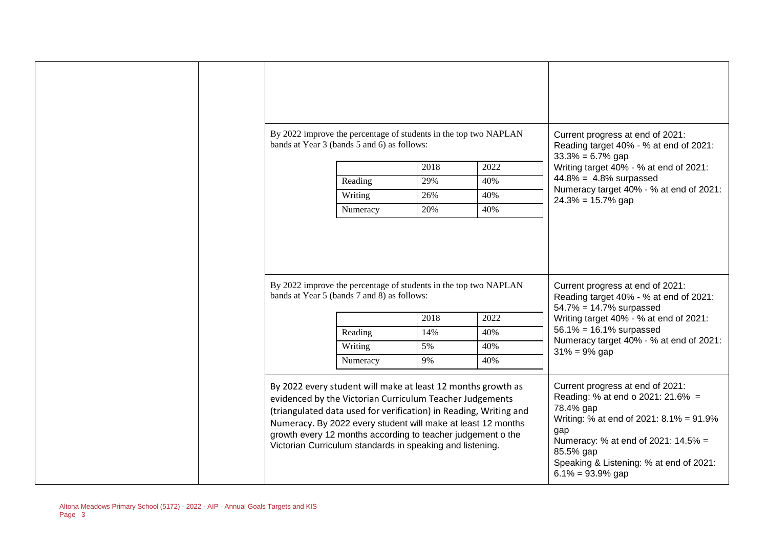|  | By 2022 improve the percentage of students in the top two NAPLAN<br>bands at Year 3 (bands 5 and 6) as follows:                                                                                                                                                                                                                                                                           |      |      | Current progress at end of 2021:<br>Reading target 40% - % at end of 2021:<br>$33.3\% = 6.7\%$ gap                                                                                       |
|--|-------------------------------------------------------------------------------------------------------------------------------------------------------------------------------------------------------------------------------------------------------------------------------------------------------------------------------------------------------------------------------------------|------|------|------------------------------------------------------------------------------------------------------------------------------------------------------------------------------------------|
|  |                                                                                                                                                                                                                                                                                                                                                                                           | 2018 | 2022 | Writing target 40% - % at end of 2021:                                                                                                                                                   |
|  | Reading                                                                                                                                                                                                                                                                                                                                                                                   | 29%  | 40%  | $44.8\% = 4.8\%$ surpassed                                                                                                                                                               |
|  | Writing                                                                                                                                                                                                                                                                                                                                                                                   | 26%  | 40%  | Numeracy target 40% - % at end of 2021:<br>$24.3\% = 15.7\%$ gap                                                                                                                         |
|  | Numeracy                                                                                                                                                                                                                                                                                                                                                                                  | 20%  | 40%  |                                                                                                                                                                                          |
|  | By 2022 improve the percentage of students in the top two NAPLAN<br>bands at Year 5 (bands 7 and 8) as follows:                                                                                                                                                                                                                                                                           | 2018 | 2022 | Current progress at end of 2021:<br>Reading target 40% - % at end of 2021:<br>$54.7\% = 14.7\%$ surpassed<br>Writing target 40% - % at end of 2021:<br>$56.1\% = 16.1\%$ surpassed       |
|  | Reading                                                                                                                                                                                                                                                                                                                                                                                   | 14%  | 40%  | Numeracy target 40% - % at end of 2021:                                                                                                                                                  |
|  | Writing                                                                                                                                                                                                                                                                                                                                                                                   | 5%   | 40%  | $31\% = 9\%$ gap                                                                                                                                                                         |
|  | Numeracy                                                                                                                                                                                                                                                                                                                                                                                  | 9%   | 40%  |                                                                                                                                                                                          |
|  | By 2022 every student will make at least 12 months growth as<br>evidenced by the Victorian Curriculum Teacher Judgements<br>(triangulated data used for verification) in Reading, Writing and<br>Numeracy. By 2022 every student will make at least 12 months<br>growth every 12 months according to teacher judgement o the<br>Victorian Curriculum standards in speaking and listening. |      |      | Current progress at end of 2021:<br>Reading: % at end o 2021: 21.6% =<br>78.4% gap<br>Writing: % at end of 2021: 8.1% = 91.9%<br>gap<br>Numeracy: % at end of 2021: 14.5% =<br>85.5% gap |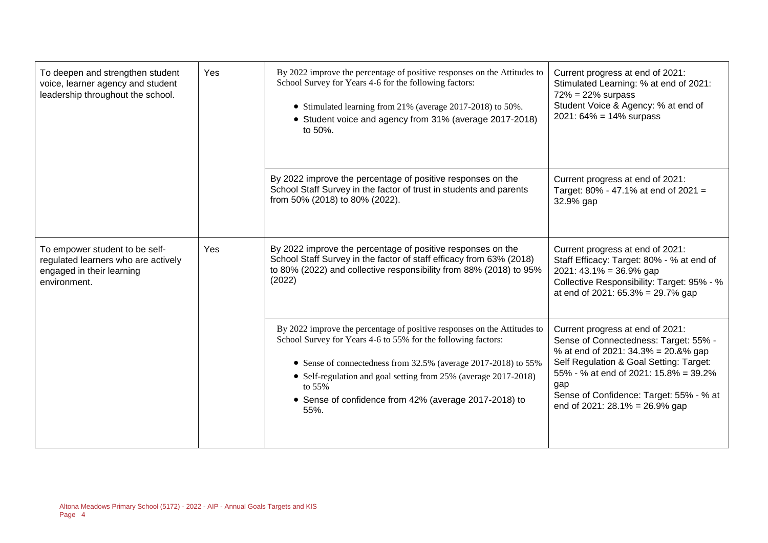| To deepen and strengthen student<br>Yes<br>voice, learner agency and student<br>leadership throughout the school.  |            | By 2022 improve the percentage of positive responses on the Attitudes to<br>School Survey for Years 4-6 for the following factors:<br>• Stimulated learning from 21% (average 2017-2018) to 50%.<br>• Student voice and agency from 31% (average 2017-2018)<br>to 50%.                                                                                    | Current progress at end of 2021:<br>Stimulated Learning: % at end of 2021:<br>$72\% = 22\%$ surpass<br>Student Voice & Agency: % at end of<br>$2021: 64\% = 14\%$ surpass                                                                                                                |  |
|--------------------------------------------------------------------------------------------------------------------|------------|-----------------------------------------------------------------------------------------------------------------------------------------------------------------------------------------------------------------------------------------------------------------------------------------------------------------------------------------------------------|------------------------------------------------------------------------------------------------------------------------------------------------------------------------------------------------------------------------------------------------------------------------------------------|--|
|                                                                                                                    |            | By 2022 improve the percentage of positive responses on the<br>School Staff Survey in the factor of trust in students and parents<br>from 50% (2018) to 80% (2022).                                                                                                                                                                                       | Current progress at end of 2021:<br>Target: 80% - 47.1% at end of 2021 =<br>32.9% gap                                                                                                                                                                                                    |  |
| To empower student to be self-<br>regulated learners who are actively<br>engaged in their learning<br>environment. | <b>Yes</b> | By 2022 improve the percentage of positive responses on the<br>School Staff Survey in the factor of staff efficacy from 63% (2018)<br>to 80% (2022) and collective responsibility from 88% (2018) to 95%<br>(2022)                                                                                                                                        | Current progress at end of 2021:<br>Staff Efficacy: Target: 80% - % at end of<br>$2021:43.1\% = 36.9\%$ gap<br>Collective Responsibility: Target: 95% - %<br>at end of 2021: $65.3\% = 29.7\%$ gap                                                                                       |  |
|                                                                                                                    |            | By 2022 improve the percentage of positive responses on the Attitudes to<br>School Survey for Years 4-6 to 55% for the following factors:<br>• Sense of connectedness from 32.5% (average 2017-2018) to 55%<br>• Self-regulation and goal setting from 25% (average 2017-2018)<br>to 55%<br>• Sense of confidence from 42% (average 2017-2018) to<br>55%. | Current progress at end of 2021:<br>Sense of Connectedness: Target: 55% -<br>% at end of 2021: 34.3% = 20.8% gap<br>Self Regulation & Goal Setting: Target:<br>55% - % at end of 2021: 15.8% = 39.2%<br>gap<br>Sense of Confidence: Target: 55% - % at<br>end of 2021: 28.1% = 26.9% gap |  |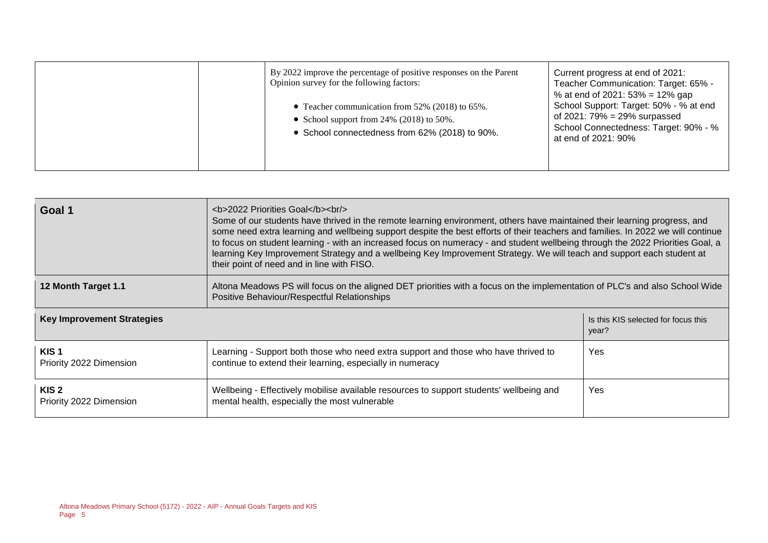| By 2022 improve the percentage of positive responses on the Parent<br>Opinion survey for the following factors:<br>• Teacher communication from $52\%$ (2018) to 65%.<br>• School support from 24% (2018) to 50%.<br>• School connectedness from 62% (2018) to 90%. | Current progress at end of 2021:<br>Teacher Communication: Target: 65% -<br>% at end of 2021: $53\% = 12\%$ gap<br>School Support: Target: 50% - % at end<br>of 2021: $79\% = 29\%$ surpassed<br>School Connectedness: Target: 90% - %<br>at end of 2021: 90% |
|---------------------------------------------------------------------------------------------------------------------------------------------------------------------------------------------------------------------------------------------------------------------|---------------------------------------------------------------------------------------------------------------------------------------------------------------------------------------------------------------------------------------------------------------|
|                                                                                                                                                                                                                                                                     |                                                                                                                                                                                                                                                               |

| Goal 1                                      | <b>2022 Priorities Goal</b><br><br><br>Some of our students have thrived in the remote learning environment, others have maintained their learning progress, and<br>some need extra learning and wellbeing support despite the best efforts of their teachers and families. In 2022 we will continue<br>to focus on student learning - with an increased focus on numeracy - and student wellbeing through the 2022 Priorities Goal, a<br>learning Key Improvement Strategy and a wellbeing Key Improvement Strategy. We will teach and support each student at<br>their point of need and in line with FISO. |                                              |  |  |
|---------------------------------------------|---------------------------------------------------------------------------------------------------------------------------------------------------------------------------------------------------------------------------------------------------------------------------------------------------------------------------------------------------------------------------------------------------------------------------------------------------------------------------------------------------------------------------------------------------------------------------------------------------------------|----------------------------------------------|--|--|
| 12 Month Target 1.1                         | Altona Meadows PS will focus on the aligned DET priorities with a focus on the implementation of PLC's and also School Wide<br>Positive Behaviour/Respectful Relationships                                                                                                                                                                                                                                                                                                                                                                                                                                    |                                              |  |  |
| <b>Key Improvement Strategies</b>           |                                                                                                                                                                                                                                                                                                                                                                                                                                                                                                                                                                                                               | Is this KIS selected for focus this<br>year? |  |  |
| KIS <sub>1</sub><br>Priority 2022 Dimension | Learning - Support both those who need extra support and those who have thrived to<br>continue to extend their learning, especially in numeracy                                                                                                                                                                                                                                                                                                                                                                                                                                                               | Yes.                                         |  |  |
| KIS <sub>2</sub><br>Priority 2022 Dimension | Wellbeing - Effectively mobilise available resources to support students' wellbeing and<br>mental health, especially the most vulnerable                                                                                                                                                                                                                                                                                                                                                                                                                                                                      | Yes                                          |  |  |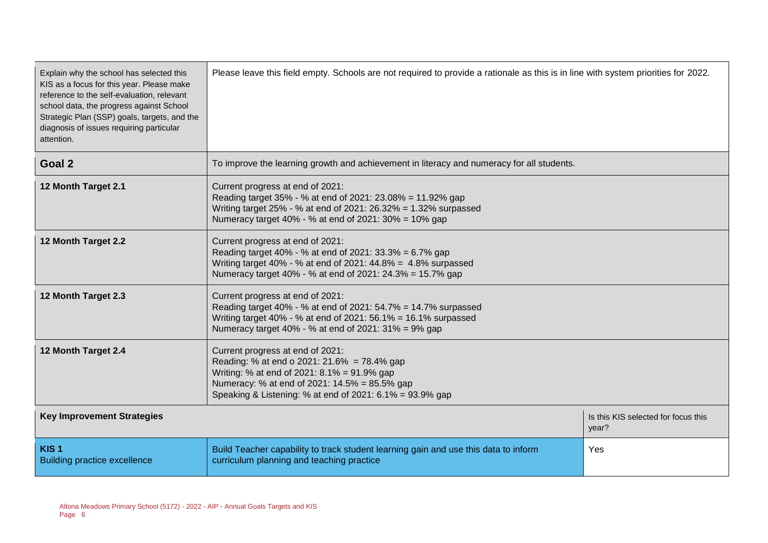| Explain why the school has selected this<br>KIS as a focus for this year. Please make<br>reference to the self-evaluation, relevant<br>school data, the progress against School<br>Strategic Plan (SSP) goals, targets, and the<br>diagnosis of issues requiring particular<br>attention. | Please leave this field empty. Schools are not required to provide a rationale as this is in line with system priorities for 2022.                                                                                                          |                                              |  |  |
|-------------------------------------------------------------------------------------------------------------------------------------------------------------------------------------------------------------------------------------------------------------------------------------------|---------------------------------------------------------------------------------------------------------------------------------------------------------------------------------------------------------------------------------------------|----------------------------------------------|--|--|
| Goal 2                                                                                                                                                                                                                                                                                    | To improve the learning growth and achievement in literacy and numeracy for all students.                                                                                                                                                   |                                              |  |  |
| 12 Month Target 2.1                                                                                                                                                                                                                                                                       | Current progress at end of 2021:<br>Reading target 35% - % at end of 2021: 23.08% = 11.92% gap<br>Writing target 25% - % at end of 2021: 26.32% = 1.32% surpassed<br>Numeracy target 40% - % at end of 2021: 30% = 10% gap                  |                                              |  |  |
| 12 Month Target 2.2                                                                                                                                                                                                                                                                       | Current progress at end of 2021:<br>Reading target 40% - % at end of 2021: 33.3% = 6.7% gap<br>Writing target 40% - % at end of 2021: 44.8% = 4.8% surpassed<br>Numeracy target 40% - % at end of 2021: 24.3% = 15.7% gap                   |                                              |  |  |
| 12 Month Target 2.3                                                                                                                                                                                                                                                                       | Current progress at end of 2021:<br>Reading target 40% - % at end of 2021: 54.7% = 14.7% surpassed<br>Writing target 40% - % at end of 2021: 56.1% = 16.1% surpassed<br>Numeracy target 40% - % at end of 2021: 31% = 9% gap                |                                              |  |  |
| 12 Month Target 2.4                                                                                                                                                                                                                                                                       | Current progress at end of 2021:<br>Reading: % at end o 2021: 21.6% = 78.4% gap<br>Writing: % at end of 2021: 8.1% = 91.9% gap<br>Numeracy: % at end of 2021: 14.5% = 85.5% gap<br>Speaking & Listening: % at end of 2021: 6.1% = 93.9% gap |                                              |  |  |
| <b>Key Improvement Strategies</b>                                                                                                                                                                                                                                                         |                                                                                                                                                                                                                                             | Is this KIS selected for focus this<br>year? |  |  |
| KIS <sub>1</sub><br><b>Building practice excellence</b>                                                                                                                                                                                                                                   | Build Teacher capability to track student learning gain and use this data to inform<br>curriculum planning and teaching practice                                                                                                            | Yes                                          |  |  |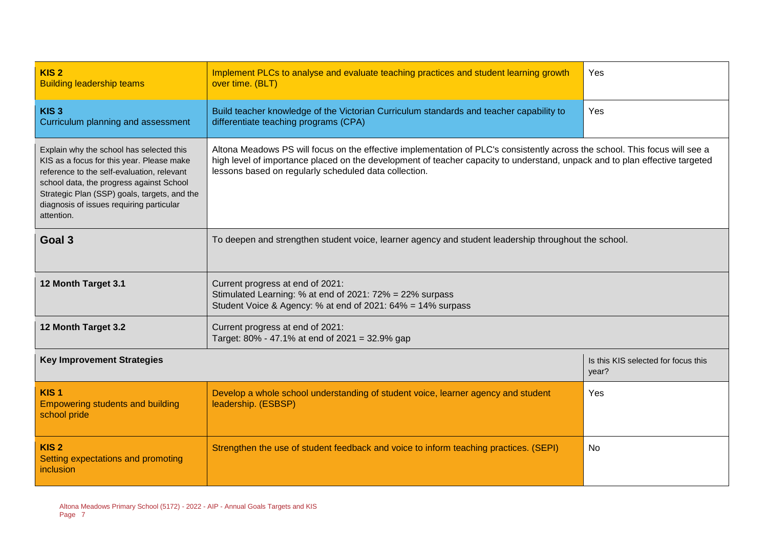| KIS <sub>2</sub><br><b>Building leadership teams</b>                                                                                                                                                                                                                                      | Implement PLCs to analyse and evaluate teaching practices and student learning growth<br>over time. (BLT)                                                                                                                                                  | Yes                                          |  |  |
|-------------------------------------------------------------------------------------------------------------------------------------------------------------------------------------------------------------------------------------------------------------------------------------------|------------------------------------------------------------------------------------------------------------------------------------------------------------------------------------------------------------------------------------------------------------|----------------------------------------------|--|--|
| KIS <sub>3</sub><br>Curriculum planning and assessment                                                                                                                                                                                                                                    | Build teacher knowledge of the Victorian Curriculum standards and teacher capability to<br>differentiate teaching programs (CPA)                                                                                                                           | Yes                                          |  |  |
| Explain why the school has selected this<br>KIS as a focus for this year. Please make<br>reference to the self-evaluation, relevant<br>school data, the progress against School<br>Strategic Plan (SSP) goals, targets, and the<br>diagnosis of issues requiring particular<br>attention. | Altona Meadows PS will focus on the effective implementation of PLC's consistently across the school. This focus will see a<br>high level of importance placed on the development of teacher capacity to understand, unpack and to plan effective targeted |                                              |  |  |
| Goal 3                                                                                                                                                                                                                                                                                    | To deepen and strengthen student voice, learner agency and student leadership throughout the school.                                                                                                                                                       |                                              |  |  |
| 12 Month Target 3.1<br>Current progress at end of 2021:<br>Stimulated Learning: % at end of 2021: 72% = 22% surpass<br>Student Voice & Agency: % at end of 2021: 64% = 14% surpass                                                                                                        |                                                                                                                                                                                                                                                            |                                              |  |  |
| 12 Month Target 3.2                                                                                                                                                                                                                                                                       | Current progress at end of 2021:<br>Target: 80% - 47.1% at end of 2021 = 32.9% gap                                                                                                                                                                         |                                              |  |  |
| <b>Key Improvement Strategies</b>                                                                                                                                                                                                                                                         |                                                                                                                                                                                                                                                            | Is this KIS selected for focus this<br>year? |  |  |
| KIS <sub>1</sub><br><b>Empowering students and building</b><br>school pride                                                                                                                                                                                                               | Develop a whole school understanding of student voice, learner agency and student<br>leadership. (ESBSP)                                                                                                                                                   | Yes                                          |  |  |
| KIS <sub>2</sub><br>Setting expectations and promoting<br>inclusion                                                                                                                                                                                                                       | Strengthen the use of student feedback and voice to inform teaching practices. (SEPI)                                                                                                                                                                      | No                                           |  |  |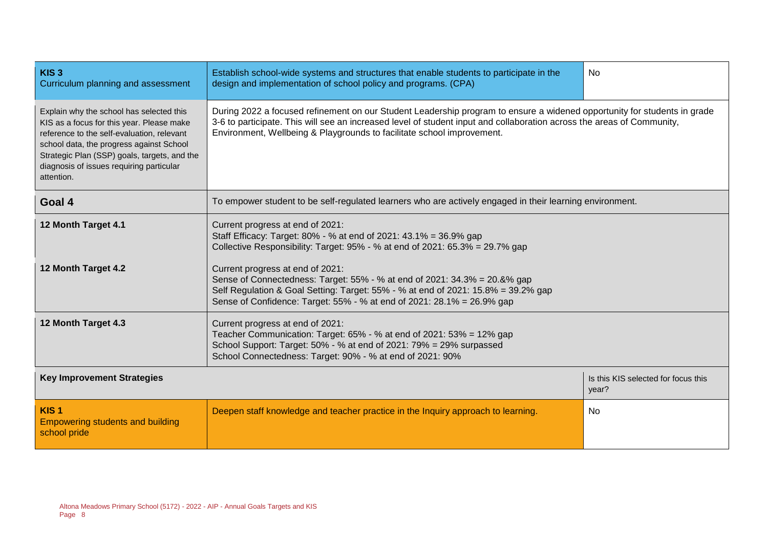| KIS <sub>3</sub><br>Curriculum planning and assessment                                                                                                                                                                                                                                    | Establish school-wide systems and structures that enable students to participate in the<br><b>No</b><br>design and implementation of school policy and programs. (CPA)                                                                                                                                                       |                                     |  |  |
|-------------------------------------------------------------------------------------------------------------------------------------------------------------------------------------------------------------------------------------------------------------------------------------------|------------------------------------------------------------------------------------------------------------------------------------------------------------------------------------------------------------------------------------------------------------------------------------------------------------------------------|-------------------------------------|--|--|
| Explain why the school has selected this<br>KIS as a focus for this year. Please make<br>reference to the self-evaluation, relevant<br>school data, the progress against School<br>Strategic Plan (SSP) goals, targets, and the<br>diagnosis of issues requiring particular<br>attention. | During 2022 a focused refinement on our Student Leadership program to ensure a widened opportunity for students in grade<br>3-6 to participate. This will see an increased level of student input and collaboration across the areas of Community,<br>Environment, Wellbeing & Playgrounds to facilitate school improvement. |                                     |  |  |
| Goal 4                                                                                                                                                                                                                                                                                    | To empower student to be self-regulated learners who are actively engaged in their learning environment.                                                                                                                                                                                                                     |                                     |  |  |
| 12 Month Target 4.1                                                                                                                                                                                                                                                                       | Current progress at end of 2021:<br>Staff Efficacy: Target: 80% - % at end of 2021: 43.1% = 36.9% gap<br>Collective Responsibility: Target: 95% - % at end of 2021: 65.3% = 29.7% gap                                                                                                                                        |                                     |  |  |
| 12 Month Target 4.2                                                                                                                                                                                                                                                                       | Current progress at end of 2021:<br>Sense of Connectedness: Target: 55% - % at end of 2021: 34.3% = 20.8% gap<br>Self Regulation & Goal Setting: Target: 55% - % at end of 2021: 15.8% = 39.2% gap<br>Sense of Confidence: Target: 55% - % at end of 2021: 28.1% = 26.9% gap                                                 |                                     |  |  |
| 12 Month Target 4.3                                                                                                                                                                                                                                                                       | Current progress at end of 2021:<br>Teacher Communication: Target: 65% - % at end of 2021: 53% = 12% gap<br>School Support: Target: 50% - % at end of 2021: 79% = 29% surpassed<br>School Connectedness: Target: 90% - % at end of 2021: 90%                                                                                 |                                     |  |  |
| <b>Key Improvement Strategies</b><br>year?                                                                                                                                                                                                                                                |                                                                                                                                                                                                                                                                                                                              | Is this KIS selected for focus this |  |  |
| KIS <sub>1</sub><br><b>Empowering students and building</b><br>school pride                                                                                                                                                                                                               | Deepen staff knowledge and teacher practice in the Inquiry approach to learning.<br>No.                                                                                                                                                                                                                                      |                                     |  |  |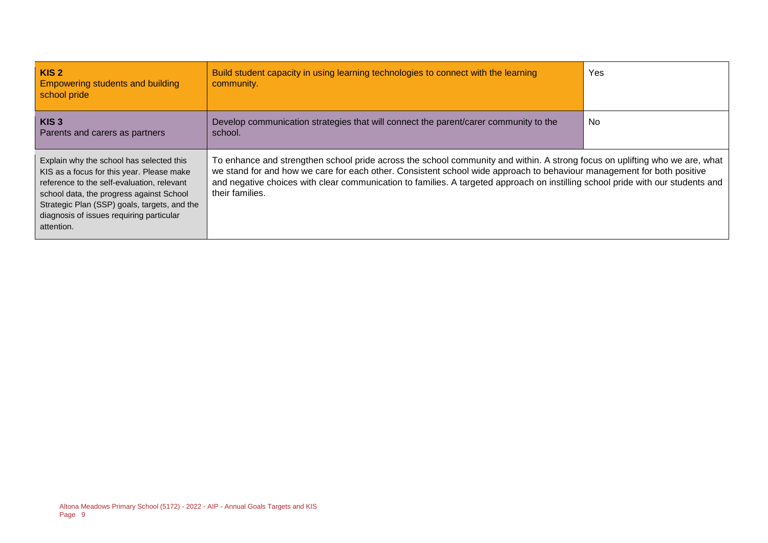| KIS <sub>2</sub><br><b>Empowering students and building</b><br>school pride                                                                                                                                                                                                               | Build student capacity in using learning technologies to connect with the learning<br>community.                                                                                                                                                                                                                                                                                                            | Yes |
|-------------------------------------------------------------------------------------------------------------------------------------------------------------------------------------------------------------------------------------------------------------------------------------------|-------------------------------------------------------------------------------------------------------------------------------------------------------------------------------------------------------------------------------------------------------------------------------------------------------------------------------------------------------------------------------------------------------------|-----|
| KIS <sub>3</sub><br>Parents and carers as partners                                                                                                                                                                                                                                        | Develop communication strategies that will connect the parent/carer community to the<br>school.                                                                                                                                                                                                                                                                                                             | No  |
| Explain why the school has selected this<br>KIS as a focus for this year. Please make<br>reference to the self-evaluation, relevant<br>school data, the progress against School<br>Strategic Plan (SSP) goals, targets, and the<br>diagnosis of issues requiring particular<br>attention. | To enhance and strengthen school pride across the school community and within. A strong focus on uplifting who we are, what<br>we stand for and how we care for each other. Consistent school wide approach to behaviour management for both positive<br>and negative choices with clear communication to families. A targeted approach on instilling school pride with our students and<br>their families. |     |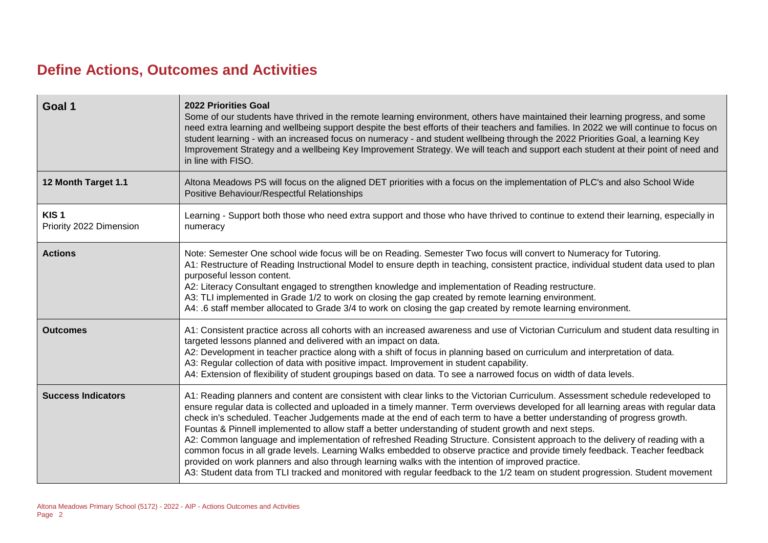## **Define Actions, Outcomes and Activities**

| Goal 1                                      | <b>2022 Priorities Goal</b><br>Some of our students have thrived in the remote learning environment, others have maintained their learning progress, and some<br>need extra learning and wellbeing support despite the best efforts of their teachers and families. In 2022 we will continue to focus on<br>student learning - with an increased focus on numeracy - and student wellbeing through the 2022 Priorities Goal, a learning Key<br>Improvement Strategy and a wellbeing Key Improvement Strategy. We will teach and support each student at their point of need and<br>in line with FISO.                                                                                                                                                                                                                                                                                                                                                                                                               |
|---------------------------------------------|---------------------------------------------------------------------------------------------------------------------------------------------------------------------------------------------------------------------------------------------------------------------------------------------------------------------------------------------------------------------------------------------------------------------------------------------------------------------------------------------------------------------------------------------------------------------------------------------------------------------------------------------------------------------------------------------------------------------------------------------------------------------------------------------------------------------------------------------------------------------------------------------------------------------------------------------------------------------------------------------------------------------|
| 12 Month Target 1.1                         | Altona Meadows PS will focus on the aligned DET priorities with a focus on the implementation of PLC's and also School Wide<br>Positive Behaviour/Respectful Relationships                                                                                                                                                                                                                                                                                                                                                                                                                                                                                                                                                                                                                                                                                                                                                                                                                                          |
| KIS <sub>1</sub><br>Priority 2022 Dimension | Learning - Support both those who need extra support and those who have thrived to continue to extend their learning, especially in<br>numeracy                                                                                                                                                                                                                                                                                                                                                                                                                                                                                                                                                                                                                                                                                                                                                                                                                                                                     |
| <b>Actions</b>                              | Note: Semester One school wide focus will be on Reading. Semester Two focus will convert to Numeracy for Tutoring.<br>A1: Restructure of Reading Instructional Model to ensure depth in teaching, consistent practice, individual student data used to plan<br>purposeful lesson content.<br>A2: Literacy Consultant engaged to strengthen knowledge and implementation of Reading restructure.<br>A3: TLI implemented in Grade 1/2 to work on closing the gap created by remote learning environment.<br>A4: .6 staff member allocated to Grade 3/4 to work on closing the gap created by remote learning environment.                                                                                                                                                                                                                                                                                                                                                                                             |
| <b>Outcomes</b>                             | A1: Consistent practice across all cohorts with an increased awareness and use of Victorian Curriculum and student data resulting in<br>targeted lessons planned and delivered with an impact on data.<br>A2: Development in teacher practice along with a shift of focus in planning based on curriculum and interpretation of data.<br>A3: Regular collection of data with positive impact. Improvement in student capability.<br>A4: Extension of flexibility of student groupings based on data. To see a narrowed focus on width of data levels.                                                                                                                                                                                                                                                                                                                                                                                                                                                               |
| <b>Success Indicators</b>                   | A1: Reading planners and content are consistent with clear links to the Victorian Curriculum. Assessment schedule redeveloped to<br>ensure regular data is collected and uploaded in a timely manner. Term overviews developed for all learning areas with regular data<br>check in's scheduled. Teacher Judgements made at the end of each term to have a better understanding of progress growth.<br>Fountas & Pinnell implemented to allow staff a better understanding of student growth and next steps.<br>A2: Common language and implementation of refreshed Reading Structure. Consistent approach to the delivery of reading with a<br>common focus in all grade levels. Learning Walks embedded to observe practice and provide timely feedback. Teacher feedback<br>provided on work planners and also through learning walks with the intention of improved practice.<br>A3: Student data from TLI tracked and monitored with regular feedback to the 1/2 team on student progression. Student movement |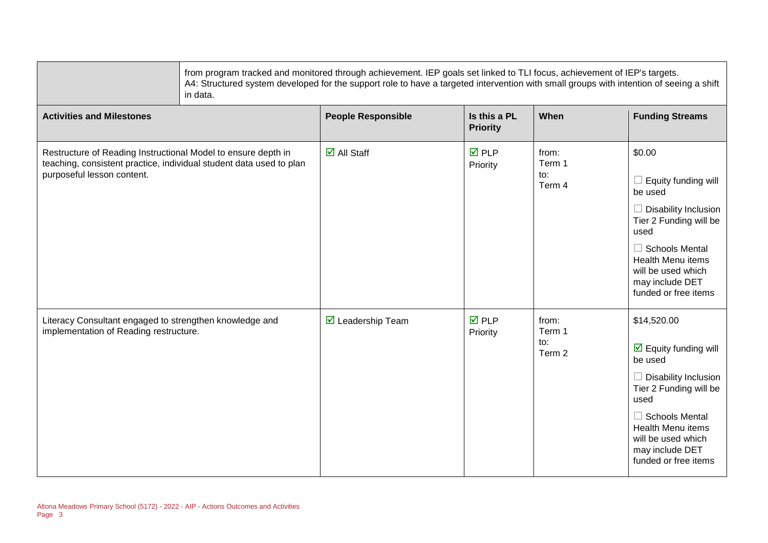|                                                                                                                                                                    | from program tracked and monitored through achievement. IEP goals set linked to TLI focus, achievement of IEP's targets.<br>A4: Structured system developed for the support role to have a targeted intervention with small groups with intention of seeing a shift<br>in data. |                                   |                                 |                                             |                                                                                                                                                                                                                                                              |
|--------------------------------------------------------------------------------------------------------------------------------------------------------------------|---------------------------------------------------------------------------------------------------------------------------------------------------------------------------------------------------------------------------------------------------------------------------------|-----------------------------------|---------------------------------|---------------------------------------------|--------------------------------------------------------------------------------------------------------------------------------------------------------------------------------------------------------------------------------------------------------------|
| <b>Activities and Milestones</b>                                                                                                                                   |                                                                                                                                                                                                                                                                                 | <b>People Responsible</b>         | Is this a PL<br><b>Priority</b> | When                                        | <b>Funding Streams</b>                                                                                                                                                                                                                                       |
| Restructure of Reading Instructional Model to ensure depth in<br>teaching, consistent practice, individual student data used to plan<br>purposeful lesson content. |                                                                                                                                                                                                                                                                                 | $\overline{\mathbf{z}}$ All Staff | $\overline{M}$ PLP<br>Priority  | from:<br>Term 1<br>$\mathsf{to}:$<br>Term 4 | \$0.00<br>Equity funding will<br>be used<br>$\Box$ Disability Inclusion<br>Tier 2 Funding will be<br>used<br>$\Box$ Schools Mental<br><b>Health Menu items</b><br>will be used which<br>may include DET<br>funded or free items                              |
| Literacy Consultant engaged to strengthen knowledge and<br>implementation of Reading restructure.                                                                  |                                                                                                                                                                                                                                                                                 | $\boxtimes$ Leadership Team       | $\overline{M}$ PLP<br>Priority  | from:<br>Term 1<br>to:<br>Term 2            | \$14,520.00<br>$\overline{\mathbf{y}}$ Equity funding will<br>be used<br>$\Box$ Disability Inclusion<br>Tier 2 Funding will be<br>used<br>$\Box$ Schools Mental<br><b>Health Menu items</b><br>will be used which<br>may include DET<br>funded or free items |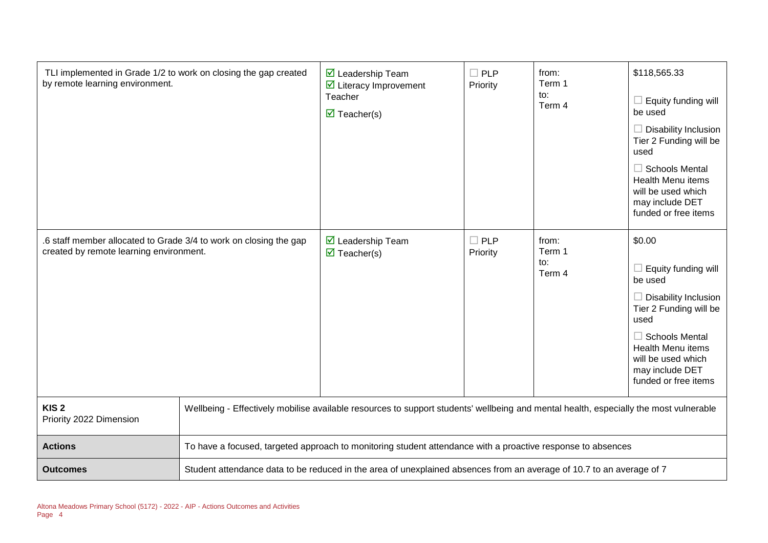| TLI implemented in Grade 1/2 to work on closing the gap created<br>by remote learning environment.           |                                                                                                                                       | $\triangledown$ Leadership Team<br>$\triangleright$ Literacy Improvement<br>Teacher<br>$\triangledown$ Teacher(s) | $\Box$ PLP<br>Priority | from:<br>Term 1<br>to:<br>Term 4 | \$118,565.33<br>$\Box$ Equity funding will<br>be used<br>$\Box$ Disability Inclusion<br>Tier 2 Funding will be<br>used<br>$\Box$ Schools Mental<br><b>Health Menu items</b><br>will be used which<br>may include DET<br>funded or free items |
|--------------------------------------------------------------------------------------------------------------|---------------------------------------------------------------------------------------------------------------------------------------|-------------------------------------------------------------------------------------------------------------------|------------------------|----------------------------------|----------------------------------------------------------------------------------------------------------------------------------------------------------------------------------------------------------------------------------------------|
| .6 staff member allocated to Grade 3/4 to work on closing the gap<br>created by remote learning environment. |                                                                                                                                       | $\triangledown$ Leadership Team<br>$\triangledown$ Teacher(s)                                                     | $\Box$ PLP<br>Priority | from:<br>Term 1<br>to:<br>Term 4 | \$0.00<br>$\Box$ Equity funding will<br>be used<br>$\Box$ Disability Inclusion<br>Tier 2 Funding will be<br>used<br>$\Box$ Schools Mental<br><b>Health Menu items</b><br>will be used which<br>may include DET<br>funded or free items       |
| KIS <sub>2</sub><br>Priority 2022 Dimension                                                                  | Wellbeing - Effectively mobilise available resources to support students' wellbeing and mental health, especially the most vulnerable |                                                                                                                   |                        |                                  |                                                                                                                                                                                                                                              |
| <b>Actions</b>                                                                                               | To have a focused, targeted approach to monitoring student attendance with a proactive response to absences                           |                                                                                                                   |                        |                                  |                                                                                                                                                                                                                                              |
| <b>Outcomes</b>                                                                                              | Student attendance data to be reduced in the area of unexplained absences from an average of 10.7 to an average of 7                  |                                                                                                                   |                        |                                  |                                                                                                                                                                                                                                              |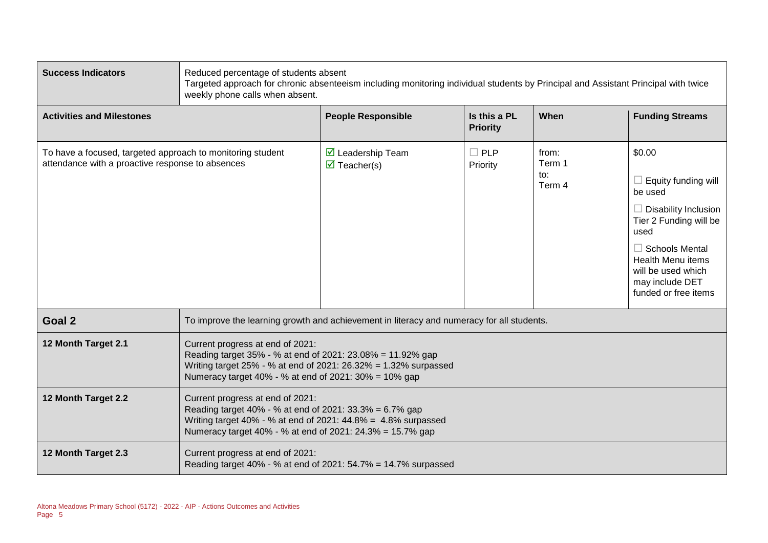| <b>Success Indicators</b>                                                                                      | Reduced percentage of students absent<br>Targeted approach for chronic absenteeism including monitoring individual students by Principal and Assistant Principal with twice<br>weekly phone calls when absent.             |                                                                                           |                                 |                                  |                                                                                                                                                                                                                          |
|----------------------------------------------------------------------------------------------------------------|----------------------------------------------------------------------------------------------------------------------------------------------------------------------------------------------------------------------------|-------------------------------------------------------------------------------------------|---------------------------------|----------------------------------|--------------------------------------------------------------------------------------------------------------------------------------------------------------------------------------------------------------------------|
| <b>Activities and Milestones</b>                                                                               |                                                                                                                                                                                                                            | <b>People Responsible</b>                                                                 | Is this a PL<br><b>Priority</b> | When                             | <b>Funding Streams</b>                                                                                                                                                                                                   |
| To have a focused, targeted approach to monitoring student<br>attendance with a proactive response to absences |                                                                                                                                                                                                                            | ☑ Leadership Team<br>$\triangledown$ Teacher(s)                                           | $\Box$ PLP<br>Priority          | from:<br>Term 1<br>to:<br>Term 4 | \$0.00<br>Equity funding will<br>be used<br>Disability Inclusion<br>Tier 2 Funding will be<br>used<br>$\Box$ Schools Mental<br><b>Health Menu items</b><br>will be used which<br>may include DET<br>funded or free items |
| Goal 2                                                                                                         |                                                                                                                                                                                                                            | To improve the learning growth and achievement in literacy and numeracy for all students. |                                 |                                  |                                                                                                                                                                                                                          |
| 12 Month Target 2.1                                                                                            | Current progress at end of 2021:<br>Reading target 35% - % at end of 2021: 23.08% = 11.92% gap<br>Writing target 25% - % at end of 2021: 26.32% = 1.32% surpassed<br>Numeracy target 40% - % at end of 2021: 30% = 10% gap |                                                                                           |                                 |                                  |                                                                                                                                                                                                                          |
| 12 Month Target 2.2                                                                                            | Current progress at end of 2021:<br>Reading target 40% - % at end of 2021: 33.3% = 6.7% gap<br>Writing target 40% - % at end of 2021: 44.8% = 4.8% surpassed<br>Numeracy target 40% - % at end of 2021: 24.3% = 15.7% gap  |                                                                                           |                                 |                                  |                                                                                                                                                                                                                          |
| 12 Month Target 2.3                                                                                            | Current progress at end of 2021:                                                                                                                                                                                           | Reading target 40% - % at end of 2021: 54.7% = 14.7% surpassed                            |                                 |                                  |                                                                                                                                                                                                                          |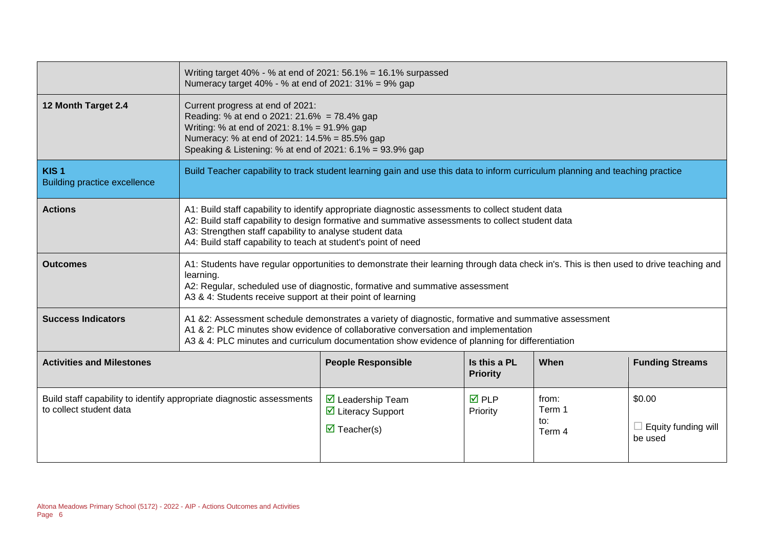|                                                         | Writing target 40% - % at end of 2021: 56.1% = 16.1% surpassed<br>Numeracy target 40% - % at end of 2021: 31% = 9% gap                                                                                                                                                                                                             |                                                                                                                               |                                 |                                  |                                                 |
|---------------------------------------------------------|------------------------------------------------------------------------------------------------------------------------------------------------------------------------------------------------------------------------------------------------------------------------------------------------------------------------------------|-------------------------------------------------------------------------------------------------------------------------------|---------------------------------|----------------------------------|-------------------------------------------------|
| 12 Month Target 2.4                                     | Current progress at end of 2021:<br>Reading: % at end o 2021: 21.6% = 78.4% gap<br>Writing: % at end of 2021: 8.1% = 91.9% gap<br>Numeracy: % at end of 2021: 14.5% = 85.5% gap<br>Speaking & Listening: % at end of 2021: 6.1% = 93.9% gap                                                                                        |                                                                                                                               |                                 |                                  |                                                 |
| KIS <sub>1</sub><br><b>Building practice excellence</b> |                                                                                                                                                                                                                                                                                                                                    | Build Teacher capability to track student learning gain and use this data to inform curriculum planning and teaching practice |                                 |                                  |                                                 |
| <b>Actions</b>                                          | A1: Build staff capability to identify appropriate diagnostic assessments to collect student data<br>A2: Build staff capability to design formative and summative assessments to collect student data<br>A3: Strengthen staff capability to analyse student data<br>A4: Build staff capability to teach at student's point of need |                                                                                                                               |                                 |                                  |                                                 |
| <b>Outcomes</b>                                         | A1: Students have regular opportunities to demonstrate their learning through data check in's. This is then used to drive teaching and<br>learning.<br>A2: Regular, scheduled use of diagnostic, formative and summative assessment<br>A3 & 4: Students receive support at their point of learning                                 |                                                                                                                               |                                 |                                  |                                                 |
| <b>Success Indicators</b>                               | A1 &2: Assessment schedule demonstrates a variety of diagnostic, formative and summative assessment<br>A1 & 2: PLC minutes show evidence of collaborative conversation and implementation<br>A3 & 4: PLC minutes and curriculum documentation show evidence of planning for differentiation                                        |                                                                                                                               |                                 |                                  |                                                 |
| <b>Activities and Milestones</b>                        |                                                                                                                                                                                                                                                                                                                                    | <b>People Responsible</b>                                                                                                     | Is this a PL<br><b>Priority</b> | When                             | <b>Funding Streams</b>                          |
| to collect student data                                 | Build staff capability to identify appropriate diagnostic assessments                                                                                                                                                                                                                                                              | $\triangleright$ Leadership Team<br>☑ Literacy Support<br>$\triangledown$ Teacher(s)                                          | <b>☑</b> PLP<br>Priority        | from:<br>Term 1<br>to:<br>Term 4 | \$0.00<br>$\Box$ Equity funding will<br>be used |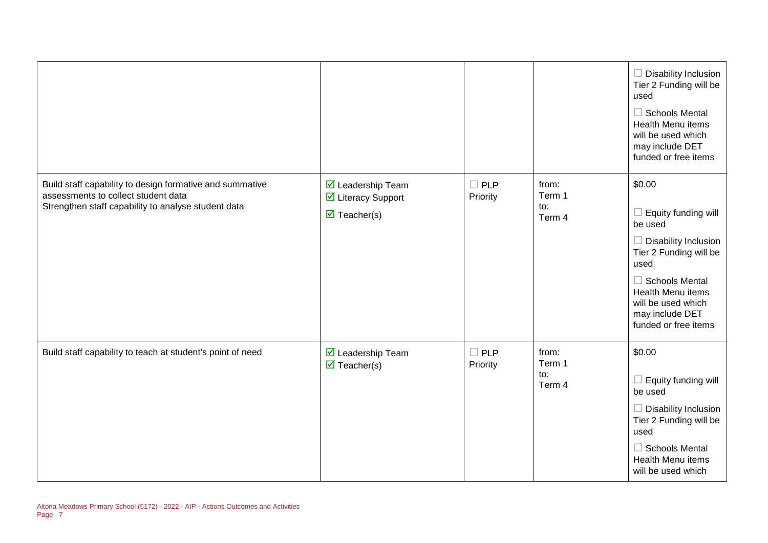|                                                                                                                                                        |                                                                       |                           |                                  | $\Box$ Disability Inclusion<br>Tier 2 Funding will be<br>used<br>$\Box$ Schools Mental<br>Health Menu items<br>will be used which<br>may include DET<br>funded or free items                                                    |
|--------------------------------------------------------------------------------------------------------------------------------------------------------|-----------------------------------------------------------------------|---------------------------|----------------------------------|---------------------------------------------------------------------------------------------------------------------------------------------------------------------------------------------------------------------------------|
| Build staff capability to design formative and summative<br>assessments to collect student data<br>Strengthen staff capability to analyse student data | ☑ Leadership Team<br>☑ Literacy Support<br>$\triangledown$ Teacher(s) | $\square$ PLP<br>Priority | from:<br>Term 1<br>to:<br>Term 4 | \$0.00<br>$\Box$ Equity funding will<br>be used<br>$\Box$ Disability Inclusion<br>Tier 2 Funding will be<br>used<br>$\Box$ Schools Mental<br>Health Menu items<br>will be used which<br>may include DET<br>funded or free items |
| Build staff capability to teach at student's point of need                                                                                             | ☑ Leadership Team<br>$\triangledown$ Teacher(s)                       | $\Box$ PLP<br>Priority    | from:<br>Term 1<br>to:<br>Term 4 | \$0.00<br>$\Box$ Equity funding will<br>be used<br>$\Box$ Disability Inclusion<br>Tier 2 Funding will be<br>used<br>$\Box$ Schools Mental<br>Health Menu items<br>will be used which                                            |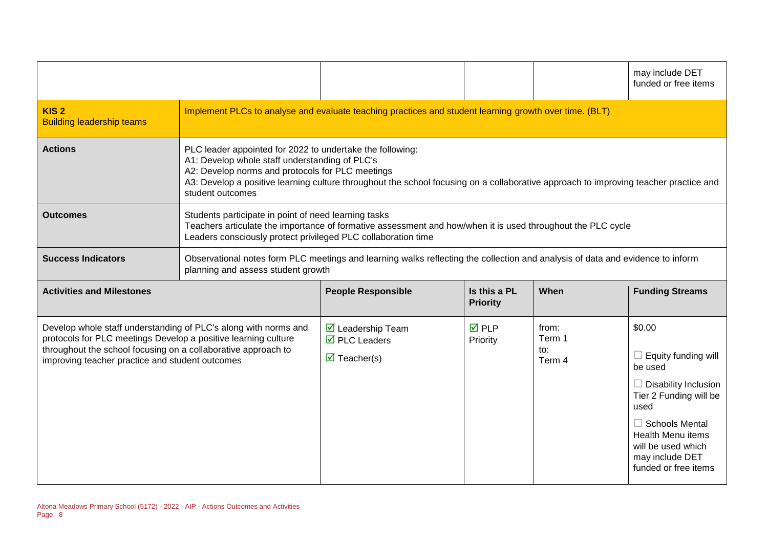|                                                      |                                                                                                                                                                                                                                                                                                                             |                                                                                                        |                                 |      | may include DET<br>funded or free items |
|------------------------------------------------------|-----------------------------------------------------------------------------------------------------------------------------------------------------------------------------------------------------------------------------------------------------------------------------------------------------------------------------|--------------------------------------------------------------------------------------------------------|---------------------------------|------|-----------------------------------------|
| KIS <sub>2</sub><br><b>Building leadership teams</b> |                                                                                                                                                                                                                                                                                                                             | Implement PLCs to analyse and evaluate teaching practices and student learning growth over time. (BLT) |                                 |      |                                         |
| <b>Actions</b>                                       | PLC leader appointed for 2022 to undertake the following:<br>A1: Develop whole staff understanding of PLC's<br>A2: Develop norms and protocols for PLC meetings<br>A3: Develop a positive learning culture throughout the school focusing on a collaborative approach to improving teacher practice and<br>student outcomes |                                                                                                        |                                 |      |                                         |
| <b>Outcomes</b>                                      | Students participate in point of need learning tasks<br>Teachers articulate the importance of formative assessment and how/when it is used throughout the PLC cycle<br>Leaders consciously protect privileged PLC collaboration time                                                                                        |                                                                                                        |                                 |      |                                         |
| <b>Success Indicators</b>                            | Observational notes form PLC meetings and learning walks reflecting the collection and analysis of data and evidence to inform<br>planning and assess student growth                                                                                                                                                        |                                                                                                        |                                 |      |                                         |
|                                                      |                                                                                                                                                                                                                                                                                                                             |                                                                                                        |                                 |      |                                         |
| <b>Activities and Milestones</b>                     |                                                                                                                                                                                                                                                                                                                             | <b>People Responsible</b>                                                                              | Is this a PL<br><b>Priority</b> | When | <b>Funding Streams</b>                  |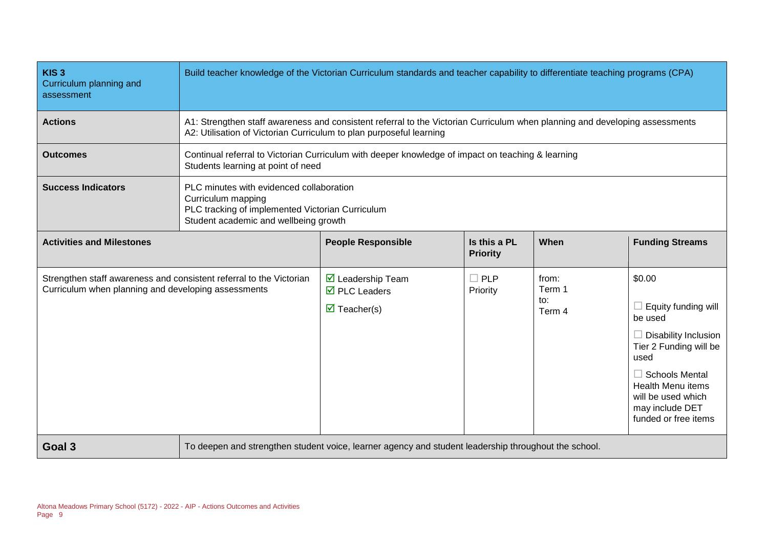| KIS <sub>3</sub><br>Curriculum planning and<br>assessment                                                                  | Build teacher knowledge of the Victorian Curriculum standards and teacher capability to differentiate teaching programs (CPA) |                                                                                                                                                                                                    |                                 |                                  |                                                                                                                                                                                                                                 |
|----------------------------------------------------------------------------------------------------------------------------|-------------------------------------------------------------------------------------------------------------------------------|----------------------------------------------------------------------------------------------------------------------------------------------------------------------------------------------------|---------------------------------|----------------------------------|---------------------------------------------------------------------------------------------------------------------------------------------------------------------------------------------------------------------------------|
| <b>Actions</b>                                                                                                             |                                                                                                                               | A1: Strengthen staff awareness and consistent referral to the Victorian Curriculum when planning and developing assessments<br>A2: Utilisation of Victorian Curriculum to plan purposeful learning |                                 |                                  |                                                                                                                                                                                                                                 |
| <b>Outcomes</b>                                                                                                            |                                                                                                                               | Continual referral to Victorian Curriculum with deeper knowledge of impact on teaching & learning<br>Students learning at point of need                                                            |                                 |                                  |                                                                                                                                                                                                                                 |
| <b>Success Indicators</b>                                                                                                  | Curriculum mapping                                                                                                            | PLC minutes with evidenced collaboration<br>PLC tracking of implemented Victorian Curriculum<br>Student academic and wellbeing growth                                                              |                                 |                                  |                                                                                                                                                                                                                                 |
| <b>Activities and Milestones</b>                                                                                           |                                                                                                                               | <b>People Responsible</b>                                                                                                                                                                          | Is this a PL<br><b>Priority</b> | When                             | <b>Funding Streams</b>                                                                                                                                                                                                          |
| Strengthen staff awareness and consistent referral to the Victorian<br>Curriculum when planning and developing assessments |                                                                                                                               | $\triangledown$ Leadership Team<br>$\overline{\mathbf{M}}$ PLC Leaders<br>$\triangledown$ Teacher(s)                                                                                               | $\Box$ PLP<br>Priority          | from:<br>Term 1<br>to:<br>Term 4 | \$0.00<br>Equity funding will<br>be used<br>$\Box$ Disability Inclusion<br>Tier 2 Funding will be<br>used<br>$\Box$ Schools Mental<br><b>Health Menu items</b><br>will be used which<br>may include DET<br>funded or free items |
| Goal 3                                                                                                                     | To deepen and strengthen student voice, learner agency and student leadership throughout the school.                          |                                                                                                                                                                                                    |                                 |                                  |                                                                                                                                                                                                                                 |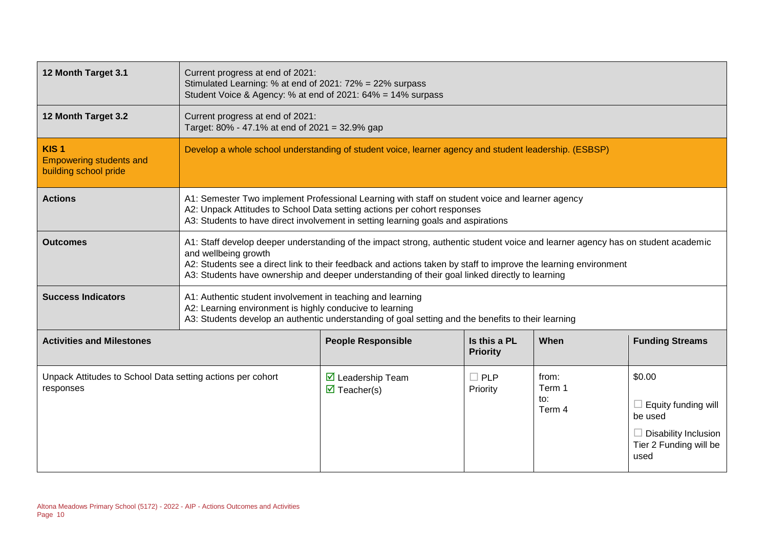| 12 Month Target 3.1                                                         | Current progress at end of 2021:<br>Stimulated Learning: % at end of 2021: 72% = 22% surpass<br>Student Voice & Agency: % at end of 2021: 64% = 14% surpass                                                                                                                                                                                                                  |                                                                                                       |                                 |                                  |                                                                                                                  |
|-----------------------------------------------------------------------------|------------------------------------------------------------------------------------------------------------------------------------------------------------------------------------------------------------------------------------------------------------------------------------------------------------------------------------------------------------------------------|-------------------------------------------------------------------------------------------------------|---------------------------------|----------------------------------|------------------------------------------------------------------------------------------------------------------|
| 12 Month Target 3.2                                                         | Current progress at end of 2021:                                                                                                                                                                                                                                                                                                                                             | Target: 80% - 47.1% at end of 2021 = 32.9% gap                                                        |                                 |                                  |                                                                                                                  |
| KIS <sub>1</sub><br><b>Empowering students and</b><br>building school pride |                                                                                                                                                                                                                                                                                                                                                                              | Develop a whole school understanding of student voice, learner agency and student leadership. (ESBSP) |                                 |                                  |                                                                                                                  |
| <b>Actions</b>                                                              | A1: Semester Two implement Professional Learning with staff on student voice and learner agency<br>A2: Unpack Attitudes to School Data setting actions per cohort responses<br>A3: Students to have direct involvement in setting learning goals and aspirations                                                                                                             |                                                                                                       |                                 |                                  |                                                                                                                  |
| <b>Outcomes</b>                                                             | A1: Staff develop deeper understanding of the impact strong, authentic student voice and learner agency has on student academic<br>and wellbeing growth<br>A2: Students see a direct link to their feedback and actions taken by staff to improve the learning environment<br>A3: Students have ownership and deeper understanding of their goal linked directly to learning |                                                                                                       |                                 |                                  |                                                                                                                  |
| <b>Success Indicators</b>                                                   | A1: Authentic student involvement in teaching and learning<br>A2: Learning environment is highly conducive to learning<br>A3: Students develop an authentic understanding of goal setting and the benefits to their learning                                                                                                                                                 |                                                                                                       |                                 |                                  |                                                                                                                  |
| <b>Activities and Milestones</b>                                            |                                                                                                                                                                                                                                                                                                                                                                              | <b>People Responsible</b>                                                                             | Is this a PL<br><b>Priority</b> | When                             | <b>Funding Streams</b>                                                                                           |
| Unpack Attitudes to School Data setting actions per cohort<br>responses     |                                                                                                                                                                                                                                                                                                                                                                              | $\triangleright$ Leadership Team<br>$\overline{\mathbf{M}}$ Teacher(s)                                | $\Box$ PLP<br>Priority          | from:<br>Term 1<br>to:<br>Term 4 | \$0.00<br>$\Box$ Equity funding will<br>be used<br>$\Box$ Disability Inclusion<br>Tier 2 Funding will be<br>used |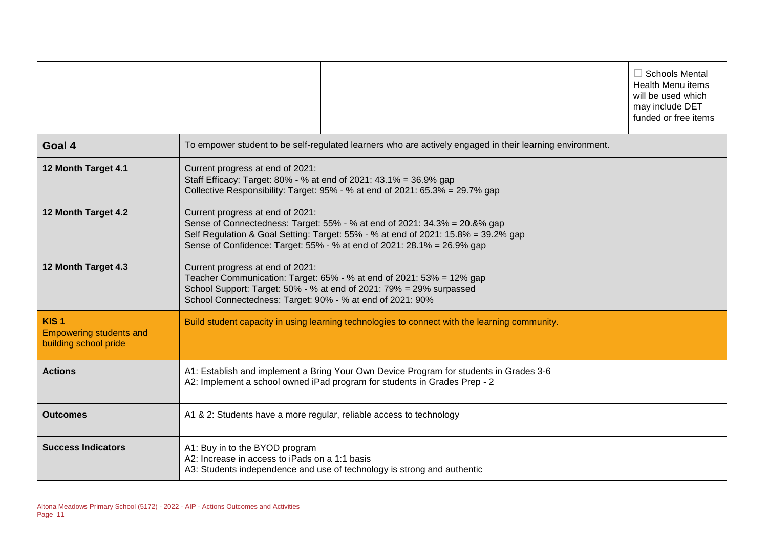|                                                                             |                                                                                                                                                                                                                                                                              |                                                                                                          |  |  | $\Box$ Schools Mental<br><b>Health Menu items</b><br>will be used which<br>may include DET<br>funded or free items |
|-----------------------------------------------------------------------------|------------------------------------------------------------------------------------------------------------------------------------------------------------------------------------------------------------------------------------------------------------------------------|----------------------------------------------------------------------------------------------------------|--|--|--------------------------------------------------------------------------------------------------------------------|
| Goal 4                                                                      |                                                                                                                                                                                                                                                                              | To empower student to be self-regulated learners who are actively engaged in their learning environment. |  |  |                                                                                                                    |
| 12 Month Target 4.1                                                         | Current progress at end of 2021:<br>Staff Efficacy: Target: 80% - % at end of 2021: 43.1% = 36.9% gap                                                                                                                                                                        | Collective Responsibility: Target: 95% - % at end of 2021: 65.3% = 29.7% gap                             |  |  |                                                                                                                    |
| 12 Month Target 4.2                                                         | Current progress at end of 2021:<br>Sense of Connectedness: Target: 55% - % at end of 2021: 34.3% = 20.&% gap<br>Self Regulation & Goal Setting: Target: 55% - % at end of 2021: 15.8% = 39.2% gap<br>Sense of Confidence: Target: 55% - % at end of 2021: 28.1% = 26.9% gap |                                                                                                          |  |  |                                                                                                                    |
| 12 Month Target 4.3                                                         | Current progress at end of 2021:<br>Teacher Communication: Target: 65% - % at end of 2021: 53% = 12% gap<br>School Support: Target: 50% - % at end of 2021: 79% = 29% surpassed<br>School Connectedness: Target: 90% - % at end of 2021: 90%                                 |                                                                                                          |  |  |                                                                                                                    |
| KIS <sub>1</sub><br><b>Empowering students and</b><br>building school pride | Build student capacity in using learning technologies to connect with the learning community.                                                                                                                                                                                |                                                                                                          |  |  |                                                                                                                    |
| <b>Actions</b>                                                              | A1: Establish and implement a Bring Your Own Device Program for students in Grades 3-6<br>A2: Implement a school owned iPad program for students in Grades Prep - 2                                                                                                          |                                                                                                          |  |  |                                                                                                                    |
| <b>Outcomes</b>                                                             |                                                                                                                                                                                                                                                                              | A1 & 2: Students have a more regular, reliable access to technology                                      |  |  |                                                                                                                    |
| <b>Success Indicators</b>                                                   | A1: Buy in to the BYOD program<br>A2: Increase in access to iPads on a 1:1 basis                                                                                                                                                                                             | A3: Students independence and use of technology is strong and authentic                                  |  |  |                                                                                                                    |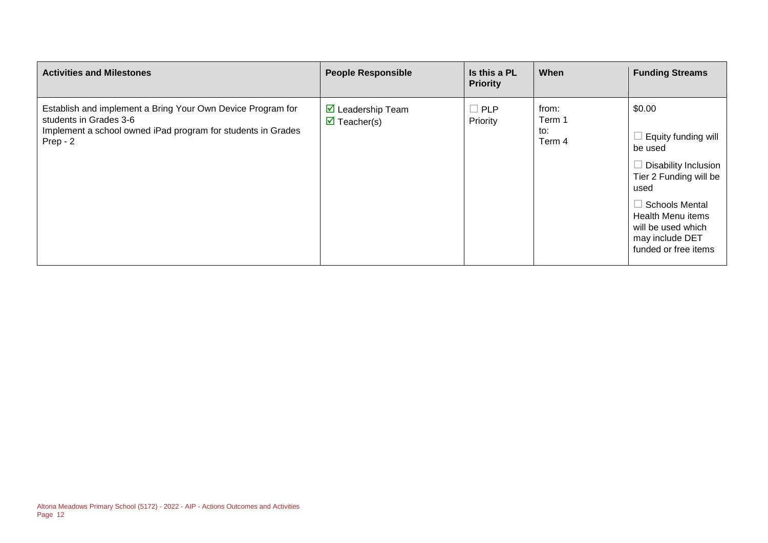| <b>Activities and Milestones</b>                                                                                                                                  | <b>People Responsible</b>                                              | Is this a PL<br><b>Priority</b> | When                             | <b>Funding Streams</b>                                                                                                                                                                                       |
|-------------------------------------------------------------------------------------------------------------------------------------------------------------------|------------------------------------------------------------------------|---------------------------------|----------------------------------|--------------------------------------------------------------------------------------------------------------------------------------------------------------------------------------------------------------|
| Establish and implement a Bring Your Own Device Program for<br>students in Grades 3-6<br>Implement a school owned iPad program for students in Grades<br>Prep - 2 | $\triangleright$ Leadership Team<br>$\overline{\mathbf{y}}$ Teacher(s) | $\Box$ PLP<br>Priority          | from:<br>Term 1<br>to:<br>Term 4 | \$0.00<br>Equity funding will<br>be used<br>Disability Inclusion<br>Tier 2 Funding will be<br>used<br>⊥ Schools Mental<br>Health Menu items<br>will be used which<br>may include DET<br>funded or free items |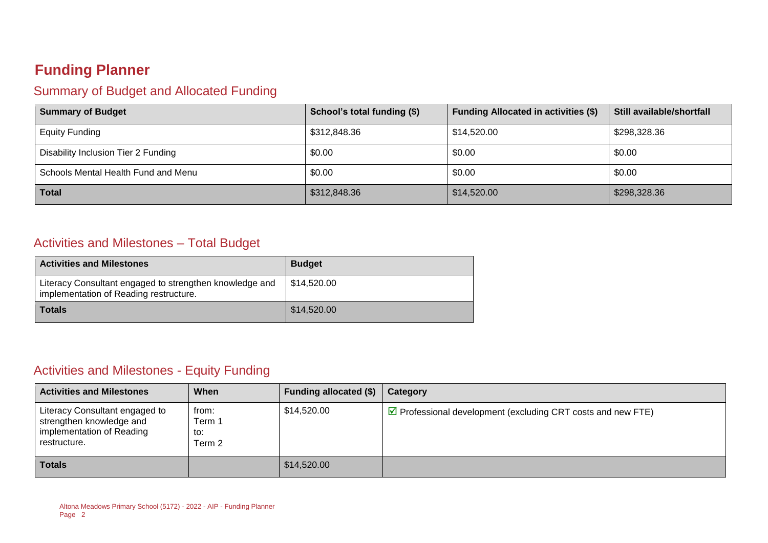### **Funding Planner**

#### Summary of Budget and Allocated Funding

| <b>Summary of Budget</b>            | School's total funding (\$) | <b>Funding Allocated in activities (\$)</b> | Still available/shortfall |
|-------------------------------------|-----------------------------|---------------------------------------------|---------------------------|
| <b>Equity Funding</b>               | \$312,848.36                | \$14,520.00                                 | \$298,328.36              |
| Disability Inclusion Tier 2 Funding | \$0.00                      | \$0.00                                      | \$0.00                    |
| Schools Mental Health Fund and Menu | \$0.00                      | \$0.00                                      | \$0.00                    |
| <b>Total</b>                        | \$312,848.36                | \$14,520.00                                 | \$298,328.36              |

#### Activities and Milestones – Total Budget

| <b>Activities and Milestones</b>                                                                  | <b>Budget</b> |
|---------------------------------------------------------------------------------------------------|---------------|
| Literacy Consultant engaged to strengthen knowledge and<br>implementation of Reading restructure. | 514,520.00    |
| <b>Totals</b>                                                                                     | \$14,520.00   |

#### Activities and Milestones - Equity Funding

| <b>Activities and Milestones</b>                                                                        | When                             | Funding allocated (\$) | Category                                                                    |
|---------------------------------------------------------------------------------------------------------|----------------------------------|------------------------|-----------------------------------------------------------------------------|
| Literacy Consultant engaged to<br>strengthen knowledge and<br>implementation of Reading<br>restructure. | from:<br>Term 1<br>to:<br>Term 2 | \$14.520.00            | $\triangleright$ Professional development (excluding CRT costs and new FTE) |
| <b>Totals</b>                                                                                           |                                  | \$14,520.00            |                                                                             |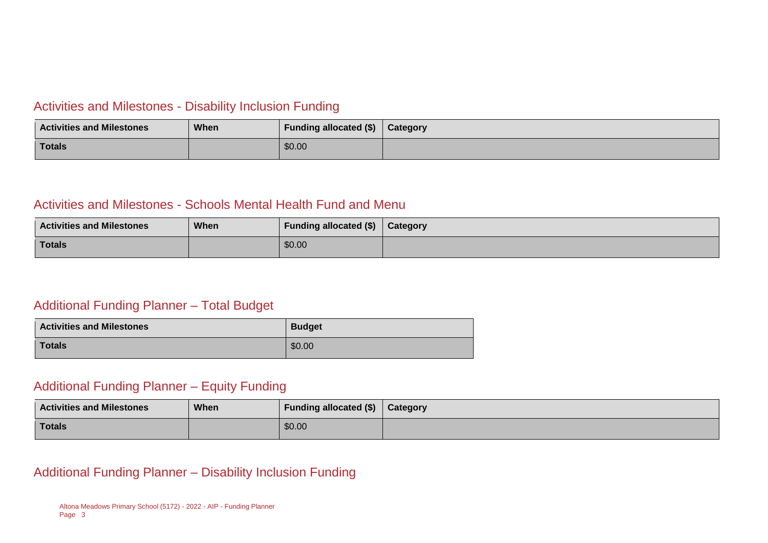#### Activities and Milestones - Disability Inclusion Funding

| <b>Activities and Milestones</b> | <b>When</b> | Funding allocated (\$) | <b>Category</b> |
|----------------------------------|-------------|------------------------|-----------------|
| Totals                           |             | \$0.00                 |                 |

#### Activities and Milestones - Schools Mental Health Fund and Menu

| <b>Activities and Milestones</b> | When | Funding allocated (\$) | Category |
|----------------------------------|------|------------------------|----------|
| Totals                           |      | \$0.00                 |          |

#### Additional Funding Planner – Total Budget

| <b>Activities and Milestones</b> | <b>Budget</b> |
|----------------------------------|---------------|
| <b>Totals</b>                    | \$0.00        |

#### Additional Funding Planner – Equity Funding

| <b>Activities and Milestones</b> | When | Funding allocated (\$) | Category |
|----------------------------------|------|------------------------|----------|
| Totals                           |      | \$0.00                 |          |

Additional Funding Planner – Disability Inclusion Funding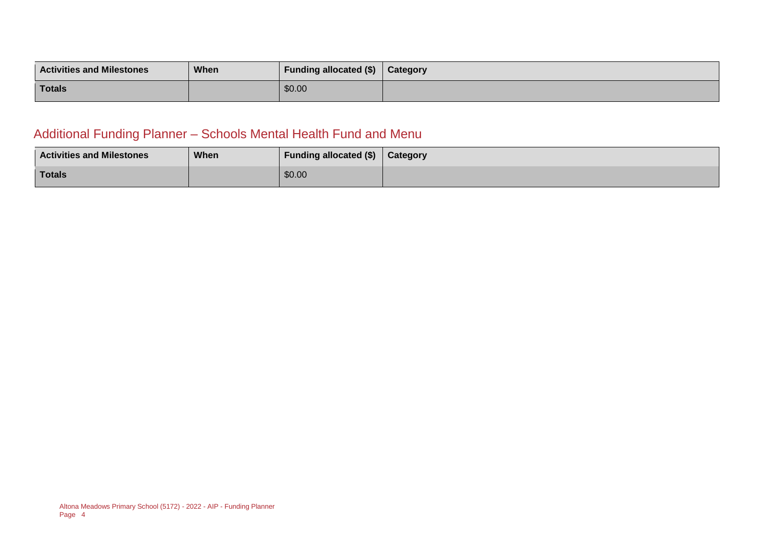| <b>Activities and Milestones</b> | When | <b>Funding allocated (\$)</b> | Category |
|----------------------------------|------|-------------------------------|----------|
| <b>Totals</b>                    |      | \$0.00                        |          |

### Additional Funding Planner – Schools Mental Health Fund and Menu

| <b>Activities and Milestones</b> | When | <b>Funding allocated (\$)</b> | Category |
|----------------------------------|------|-------------------------------|----------|
| <b>Totals</b>                    |      | \$0.00                        |          |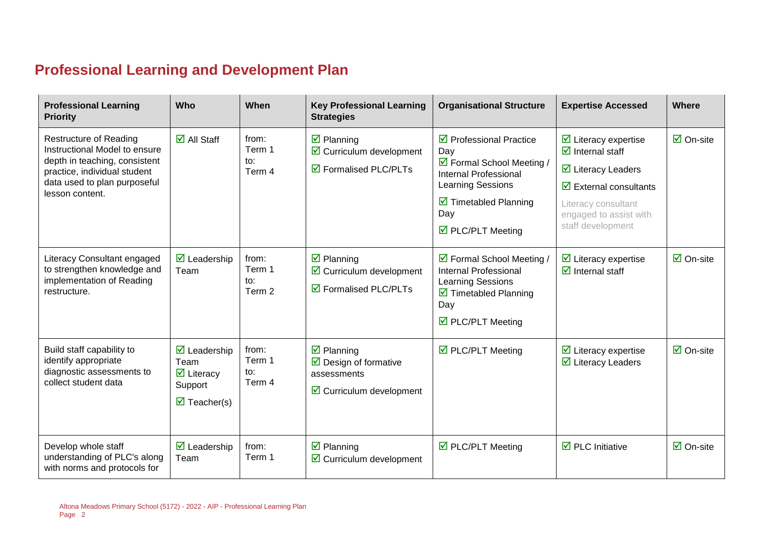# **Professional Learning and Development Plan**

| <b>Professional Learning</b><br><b>Priority</b>                                                                                                                                    | Who                                                                                                                             | When                             | <b>Key Professional Learning</b><br><b>Strategies</b>                                                                              | <b>Organisational Structure</b>                                                                                                                                                                                  | <b>Expertise Accessed</b>                                                                                                                                                                                                                       | Where                           |
|------------------------------------------------------------------------------------------------------------------------------------------------------------------------------------|---------------------------------------------------------------------------------------------------------------------------------|----------------------------------|------------------------------------------------------------------------------------------------------------------------------------|------------------------------------------------------------------------------------------------------------------------------------------------------------------------------------------------------------------|-------------------------------------------------------------------------------------------------------------------------------------------------------------------------------------------------------------------------------------------------|---------------------------------|
| <b>Restructure of Reading</b><br>Instructional Model to ensure<br>depth in teaching, consistent<br>practice, individual student<br>data used to plan purposeful<br>lesson content. | $\overline{\Box}$ All Staff                                                                                                     | from:<br>Term 1<br>to:<br>Term 4 | $\overline{\mathbf{z}}$ Planning<br>$\triangleright$ Curriculum development<br>$\boxtimes$ Formalised PLC/PLTs                     | $\triangledown$ Professional Practice<br>Day<br>☑ Formal School Meeting /<br><b>Internal Professional</b><br>Learning Sessions<br>$\triangleright$ Timetabled Planning<br>Day<br>$\triangledown$ PLC/PLT Meeting | $\triangleright$ Literacy expertise<br>$\overline{\mathbf{d}}$ Internal staff<br>$\overline{\mathbf{y}}$ Literacy Leaders<br>$\overline{\mathbf{y}}$ External consultants<br>Literacy consultant<br>engaged to assist with<br>staff development | $\overline{\Box}$ On-site       |
| Literacy Consultant engaged<br>to strengthen knowledge and<br>implementation of Reading<br>restructure.                                                                            | $\overline{\mathbf{M}}$ Leadership<br>Team                                                                                      | from:<br>Term 1<br>to:<br>Term 2 | $\overline{\mathbf{z}}$ Planning<br>$\triangleright$ Curriculum development<br>$\triangledown$ Formalised PLC/PLTs                 | ☑ Formal School Meeting /<br><b>Internal Professional</b><br>Learning Sessions<br>$\triangleright$ Timetabled Planning<br>Day<br>$\triangledown$ PLC/PLT Meeting                                                 | $\triangleright$ Literacy expertise<br>$\overline{\mathbf{d}}$ Internal staff                                                                                                                                                                   | $\overline{\mathsf{M}}$ On-site |
| Build staff capability to<br>identify appropriate<br>diagnostic assessments to<br>collect student data                                                                             | $\overline{\mathbf{M}}$ Leadership<br>Team<br>$\overline{\mathbf{M}}$ Literacy<br>Support<br>$\overline{\mathbf{z}}$ Teacher(s) | from:<br>Term 1<br>to:<br>Term 4 | $\overline{\mathbf{z}}$ Planning<br>$\triangleright$ Design of formative<br>assessments<br>$\triangleright$ Curriculum development | $\triangledown$ PLC/PLT Meeting                                                                                                                                                                                  | $\triangleright$ Literacy expertise<br>$\overline{\mathbf{z}}$ Literacy Leaders                                                                                                                                                                 | $\overline{\mathsf{M}}$ On-site |
| Develop whole staff<br>understanding of PLC's along<br>with norms and protocols for                                                                                                | $\overline{\mathbf{z}}$ Leadership<br>Team                                                                                      | from:<br>Term 1                  | $\overline{\mathbf{z}}$ Planning<br>$\triangleright$ Curriculum development                                                        | $\triangledown$ PLC/PLT Meeting                                                                                                                                                                                  | $\overline{\boxtimes}$ PLC Initiative                                                                                                                                                                                                           | $\overline{\mathsf{M}}$ On-site |